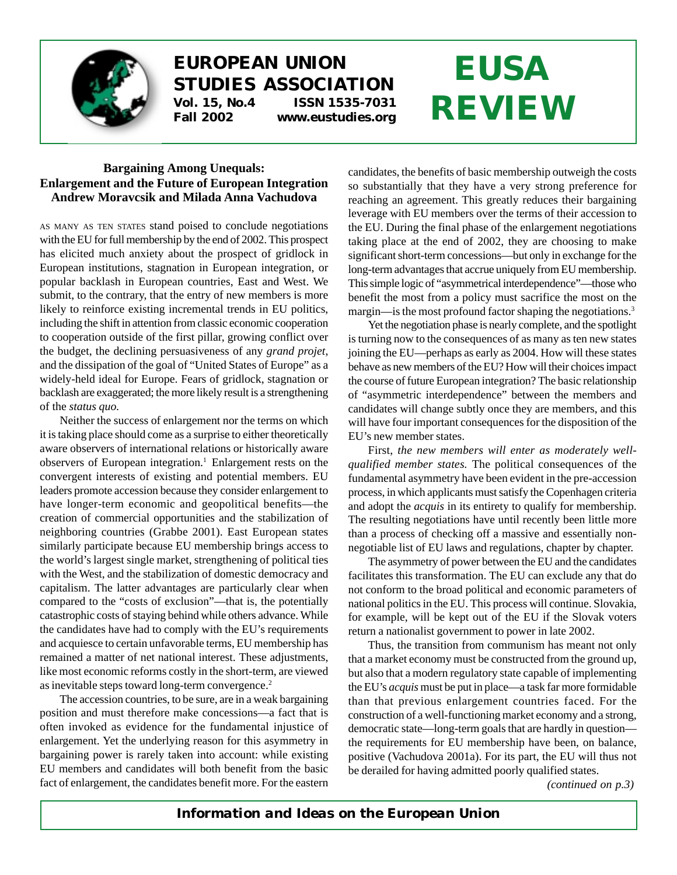

## **EUROPEAN UNION STUDIES ASSOCIATION Vol. 15, No.4 ISSN 1535-7031**

**Fall 2002 www.eustudies.org**

# **EUSA REVIEW**

### **Bargaining Among Unequals: Enlargement and the Future of European Integration Andrew Moravcsik and Milada Anna Vachudova**

AS MANY AS TEN STATES stand poised to conclude negotiations with the EU for full membership by the end of 2002. This prospect has elicited much anxiety about the prospect of gridlock in European institutions, stagnation in European integration, or popular backlash in European countries, East and West. We submit, to the contrary, that the entry of new members is more likely to reinforce existing incremental trends in EU politics, including the shift in attention from classic economic cooperation to cooperation outside of the first pillar, growing conflict over the budget, the declining persuasiveness of any *grand projet*, and the dissipation of the goal of "United States of Europe" as a widely-held ideal for Europe. Fears of gridlock, stagnation or backlash are exaggerated; the more likely result is a strengthening of the *status quo.*

Neither the success of enlargement nor the terms on which it is taking place should come as a surprise to either theoretically aware observers of international relations or historically aware observers of European integration.<sup>1</sup> Enlargement rests on the convergent interests of existing and potential members. EU leaders promote accession because they consider enlargement to have longer-term economic and geopolitical benefits—the creation of commercial opportunities and the stabilization of neighboring countries (Grabbe 2001). East European states similarly participate because EU membership brings access to the world's largest single market, strengthening of political ties with the West, and the stabilization of domestic democracy and capitalism. The latter advantages are particularly clear when compared to the "costs of exclusion"—that is, the potentially catastrophic costs of staying behind while others advance. While the candidates have had to comply with the EU's requirements and acquiesce to certain unfavorable terms, EU membership has remained a matter of net national interest. These adjustments, like most economic reforms costly in the short-term, are viewed as inevitable steps toward long-term convergence.<sup>2</sup>

The accession countries, to be sure, are in a weak bargaining position and must therefore make concessions—a fact that is often invoked as evidence for the fundamental injustice of enlargement. Yet the underlying reason for this asymmetry in bargaining power is rarely taken into account: while existing EU members and candidates will both benefit from the basic fact of enlargement, the candidates benefit more. For the eastern candidates, the benefits of basic membership outweigh the costs so substantially that they have a very strong preference for reaching an agreement. This greatly reduces their bargaining leverage with EU members over the terms of their accession to the EU. During the final phase of the enlargement negotiations taking place at the end of 2002, they are choosing to make significant short-term concessions—but only in exchange for the long-term advantages that accrue uniquely from EU membership. This simple logic of "asymmetrical interdependence"—those who benefit the most from a policy must sacrifice the most on the margin—is the most profound factor shaping the negotiations.<sup>3</sup>

Yet the negotiation phase is nearly complete, and the spotlight is turning now to the consequences of as many as ten new states joining the EU—perhaps as early as 2004. How will these states behave as new members of the EU? How will their choices impact the course of future European integration? The basic relationship of "asymmetric interdependence" between the members and candidates will change subtly once they are members, and this will have four important consequences for the disposition of the EU's new member states.

First, *the new members will enter as moderately wellqualified member states.* The political consequences of the fundamental asymmetry have been evident in the pre-accession process, in which applicants must satisfy the Copenhagen criteria and adopt the *acquis* in its entirety to qualify for membership. The resulting negotiations have until recently been little more than a process of checking off a massive and essentially nonnegotiable list of EU laws and regulations, chapter by chapter.

The asymmetry of power between the EU and the candidates facilitates this transformation. The EU can exclude any that do not conform to the broad political and economic parameters of national politics in the EU. This process will continue. Slovakia, for example, will be kept out of the EU if the Slovak voters return a nationalist government to power in late 2002.

Thus, the transition from communism has meant not only that a market economy must be constructed from the ground up, but also that a modern regulatory state capable of implementing the EU's *acquis* must be put in place—a task far more formidable than that previous enlargement countries faced. For the construction of a well-functioning market economy and a strong, democratic state—long-term goals that are hardly in question the requirements for EU membership have been, on balance, positive (Vachudova 2001a). For its part, the EU will thus not be derailed for having admitted poorly qualified states.

*(continued on p.3)*

*Information and Ideas on the European Union*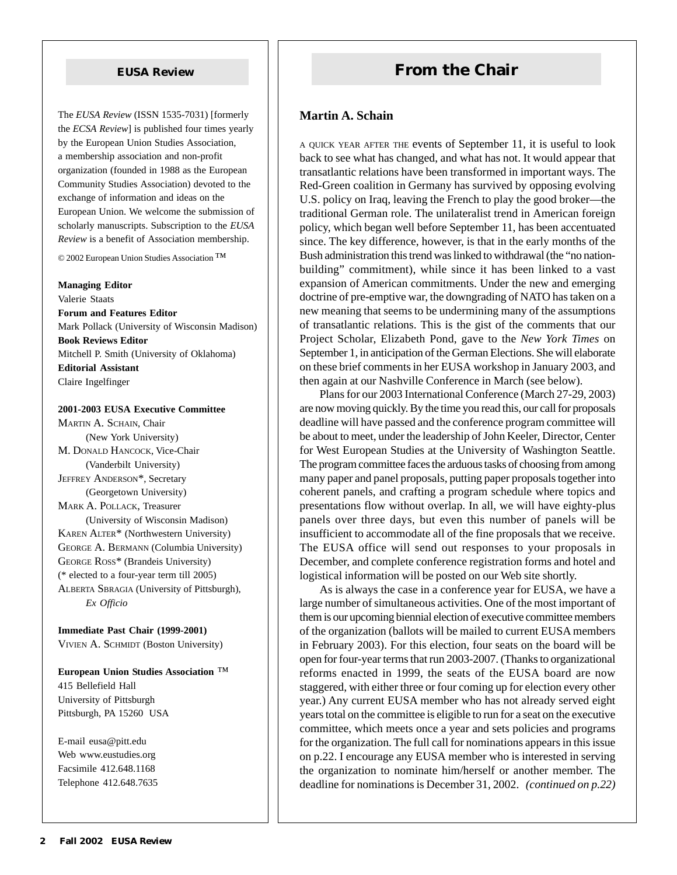The *EUSA Review* (ISSN 1535-7031) [formerly the *ECSA Review*] is published four times yearly by the European Union Studies Association, a membership association and non-profit organization (founded in 1988 as the European Community Studies Association) devoted to the exchange of information and ideas on the European Union. We welcome the submission of scholarly manuscripts. Subscription to the *EUSA Review* is a benefit of Association membership.

© 2002 European Union Studies Association ™

#### **Managing Editor**

Valerie Staats **Forum and Features Editor** Mark Pollack (University of Wisconsin Madison) **Book Reviews Editor** Mitchell P. Smith (University of Oklahoma) **Editorial Assistant** Claire Ingelfinger

#### **2001-2003 EUSA Executive Committee**

MARTIN A. SCHAIN, Chair (New York University) M. DONALD HANCOCK, Vice-Chair (Vanderbilt University) JEFFREY ANDERSON\*, Secretary (Georgetown University) MARK A. POLLACK, Treasurer (University of Wisconsin Madison) KAREN ALTER\* (Northwestern University) GEORGE A. BERMANN (Columbia University) GEORGE ROSS\* (Brandeis University) (\* elected to a four-year term till 2005) ALBERTA SBRAGIA (University of Pittsburgh), *Ex Officio*

**Immediate Past Chair (1999-2001)** VIVIEN A. SCHMIDT (Boston University)

**European Union Studies Association** ™ 415 Bellefield Hall University of Pittsburgh Pittsburgh, PA 15260 USA

E-mail eusa@pitt.edu Web www.eustudies.org Facsimile 412.648.1168 Telephone 412.648.7635

## **EUSA Review From the Chair**

#### **Martin A. Schain**

A QUICK YEAR AFTER THE events of September 11, it is useful to look back to see what has changed, and what has not. It would appear that transatlantic relations have been transformed in important ways. The Red-Green coalition in Germany has survived by opposing evolving U.S. policy on Iraq, leaving the French to play the good broker—the traditional German role. The unilateralist trend in American foreign policy, which began well before September 11, has been accentuated since. The key difference, however, is that in the early months of the Bush administration this trend was linked to withdrawal (the "no nationbuilding" commitment), while since it has been linked to a vast expansion of American commitments. Under the new and emerging doctrine of pre-emptive war, the downgrading of NATO has taken on a new meaning that seems to be undermining many of the assumptions of transatlantic relations. This is the gist of the comments that our Project Scholar, Elizabeth Pond, gave to the *New York Times* on September 1, in anticipation of the German Elections. She will elaborate on these brief comments in her EUSA workshop in January 2003, and then again at our Nashville Conference in March (see below).

Plans for our 2003 International Conference (March 27-29, 2003) are now moving quickly. By the time you read this, our call for proposals deadline will have passed and the conference program committee will be about to meet, under the leadership of John Keeler, Director, Center for West European Studies at the University of Washington Seattle. The program committee faces the arduous tasks of choosing from among many paper and panel proposals, putting paper proposals together into coherent panels, and crafting a program schedule where topics and presentations flow without overlap. In all, we will have eighty-plus panels over three days, but even this number of panels will be insufficient to accommodate all of the fine proposals that we receive. The EUSA office will send out responses to your proposals in December, and complete conference registration forms and hotel and logistical information will be posted on our Web site shortly.

As is always the case in a conference year for EUSA, we have a large number of simultaneous activities. One of the most important of them is our upcoming biennial election of executive committee members of the organization (ballots will be mailed to current EUSA members in February 2003). For this election, four seats on the board will be open for four-year terms that run 2003-2007. (Thanks to organizational reforms enacted in 1999, the seats of the EUSA board are now staggered, with either three or four coming up for election every other year.) Any current EUSA member who has not already served eight years total on the committee is eligible to run for a seat on the executive committee, which meets once a year and sets policies and programs for the organization. The full call for nominations appears in this issue on p.22. I encourage any EUSA member who is interested in serving the organization to nominate him/herself or another member. The deadline for nominations is December 31, 2002. *(continued on p.22)*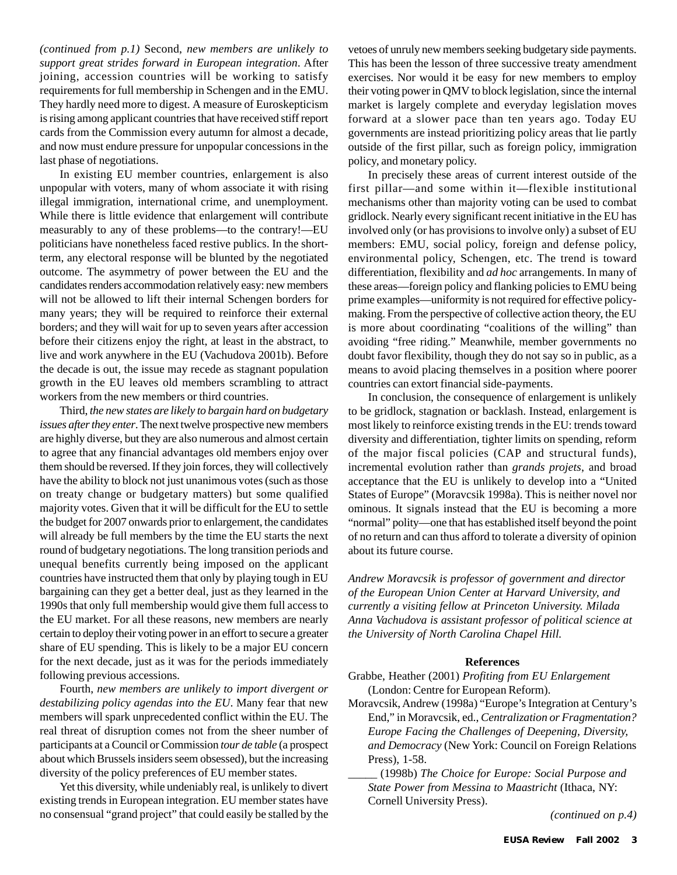*(continued from p.1)* Second, *new members are unlikely to support great strides forward in European integration*. After joining, accession countries will be working to satisfy requirements for full membership in Schengen and in the EMU. They hardly need more to digest. A measure of Euroskepticism is rising among applicant countries that have received stiff report cards from the Commission every autumn for almost a decade, and now must endure pressure for unpopular concessions in the last phase of negotiations.

In existing EU member countries, enlargement is also unpopular with voters, many of whom associate it with rising illegal immigration, international crime, and unemployment. While there is little evidence that enlargement will contribute measurably to any of these problems—to the contrary!—EU politicians have nonetheless faced restive publics. In the shortterm, any electoral response will be blunted by the negotiated outcome. The asymmetry of power between the EU and the candidates renders accommodation relatively easy: new members will not be allowed to lift their internal Schengen borders for many years; they will be required to reinforce their external borders; and they will wait for up to seven years after accession before their citizens enjoy the right, at least in the abstract, to live and work anywhere in the EU (Vachudova 2001b). Before the decade is out, the issue may recede as stagnant population growth in the EU leaves old members scrambling to attract workers from the new members or third countries.

Third, *the new states are likely to bargain hard on budgetary issues after they enter*. The next twelve prospective new members are highly diverse, but they are also numerous and almost certain to agree that any financial advantages old members enjoy over them should be reversed. If they join forces, they will collectively have the ability to block not just unanimous votes (such as those on treaty change or budgetary matters) but some qualified majority votes. Given that it will be difficult for the EU to settle the budget for 2007 onwards prior to enlargement, the candidates will already be full members by the time the EU starts the next round of budgetary negotiations. The long transition periods and unequal benefits currently being imposed on the applicant countries have instructed them that only by playing tough in EU bargaining can they get a better deal, just as they learned in the 1990s that only full membership would give them full access to the EU market. For all these reasons, new members are nearly certain to deploy their voting power in an effort to secure a greater share of EU spending. This is likely to be a major EU concern for the next decade, just as it was for the periods immediately following previous accessions.

Fourth, *new members are unlikely to import divergent or destabilizing policy agendas into the EU*. Many fear that new members will spark unprecedented conflict within the EU. The real threat of disruption comes not from the sheer number of participants at a Council or Commission *tour de table* (a prospect about which Brussels insiders seem obsessed), but the increasing diversity of the policy preferences of EU member states.

Yet this diversity, while undeniably real, is unlikely to divert existing trends in European integration. EU member states have no consensual "grand project" that could easily be stalled by the

vetoes of unruly new members seeking budgetary side payments. This has been the lesson of three successive treaty amendment exercises. Nor would it be easy for new members to employ their voting power in QMV to block legislation, since the internal market is largely complete and everyday legislation moves forward at a slower pace than ten years ago. Today EU governments are instead prioritizing policy areas that lie partly outside of the first pillar, such as foreign policy, immigration policy, and monetary policy.

In precisely these areas of current interest outside of the first pillar—and some within it—flexible institutional mechanisms other than majority voting can be used to combat gridlock. Nearly every significant recent initiative in the EU has involved only (or has provisions to involve only) a subset of EU members: EMU, social policy, foreign and defense policy, environmental policy, Schengen, etc. The trend is toward differentiation, flexibility and *ad hoc* arrangements. In many of these areas—foreign policy and flanking policies to EMU being prime examples—uniformity is not required for effective policymaking. From the perspective of collective action theory, the EU is more about coordinating "coalitions of the willing" than avoiding "free riding." Meanwhile, member governments no doubt favor flexibility, though they do not say so in public, as a means to avoid placing themselves in a position where poorer countries can extort financial side-payments.

In conclusion, the consequence of enlargement is unlikely to be gridlock, stagnation or backlash. Instead, enlargement is most likely to reinforce existing trends in the EU: trends toward diversity and differentiation, tighter limits on spending, reform of the major fiscal policies (CAP and structural funds), incremental evolution rather than *grands projets*, and broad acceptance that the EU is unlikely to develop into a "United States of Europe" (Moravcsik 1998a). This is neither novel nor ominous. It signals instead that the EU is becoming a more "normal" polity—one that has established itself beyond the point of no return and can thus afford to tolerate a diversity of opinion about its future course.

*Andrew Moravcsik is professor of government and director of the European Union Center at Harvard University, and currently a visiting fellow at Princeton University. Milada Anna Vachudova is assistant professor of political science at the University of North Carolina Chapel Hill.*

#### **References**

- Grabbe, Heather (2001) *Profiting from EU Enlargement* (London: Centre for European Reform).
- Moravcsik, Andrew (1998a) "Europe's Integration at Century's End," in Moravcsik, ed., *Centralization or Fragmentation? Europe Facing the Challenges of Deepening, Diversity, and Democracy* (New York: Council on Foreign Relations Press), 1-58.

\_\_\_\_\_ (1998b) *The Choice for Europe: Social Purpose and State Power from Messina to Maastricht* (Ithaca, NY: Cornell University Press).

 *(continued on p.4)*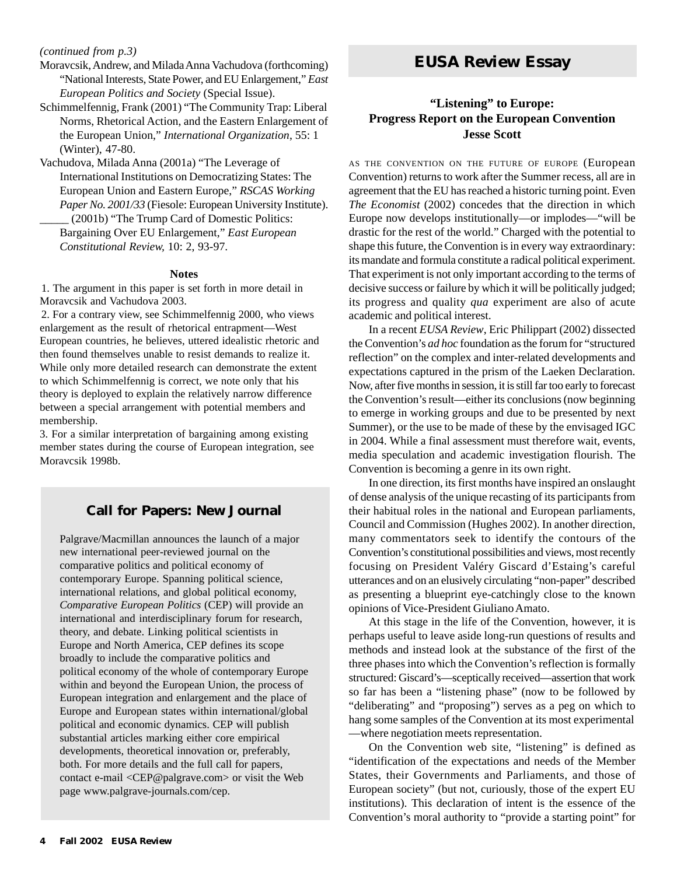#### *(continued from p.3)*

- Moravcsik, Andrew, and Milada Anna Vachudova (forthcoming) "National Interests, State Power, and EU Enlargement," *East European Politics and Society* (Special Issue).
- Schimmelfennig, Frank (2001) "The Community Trap: Liberal Norms, Rhetorical Action, and the Eastern Enlargement of the European Union," *International Organization*, 55: 1 (Winter), 47-80.
- Vachudova, Milada Anna (2001a) "The Leverage of International Institutions on Democratizing States: The European Union and Eastern Europe," *RSCAS Working Paper No. 2001/33* (Fiesole: European University Institute).
	- \_\_\_\_\_ (2001b) "The Trump Card of Domestic Politics: Bargaining Over EU Enlargement," *East European Constitutional Review,* 10: 2, 93-97.

#### **Notes**

1. The argument in this paper is set forth in more detail in Moravcsik and Vachudova 2003.

2. For a contrary view, see Schimmelfennig 2000, who views enlargement as the result of rhetorical entrapment—West European countries, he believes, uttered idealistic rhetoric and then found themselves unable to resist demands to realize it. While only more detailed research can demonstrate the extent to which Schimmelfennig is correct, we note only that his theory is deployed to explain the relatively narrow difference between a special arrangement with potential members and membership.

3. For a similar interpretation of bargaining among existing member states during the course of European integration, see Moravcsik 1998b.

#### **Call for Papers: New Journal**

Palgrave/Macmillan announces the launch of a major new international peer-reviewed journal on the comparative politics and political economy of contemporary Europe. Spanning political science, international relations, and global political economy, *Comparative European Politics* (CEP) will provide an international and interdisciplinary forum for research, theory, and debate. Linking political scientists in Europe and North America, CEP defines its scope broadly to include the comparative politics and political economy of the whole of contemporary Europe within and beyond the European Union, the process of European integration and enlargement and the place of Europe and European states within international/global political and economic dynamics. CEP will publish substantial articles marking either core empirical developments, theoretical innovation or, preferably, both. For more details and the full call for papers, contact e-mail <CEP@palgrave.com> or visit the Web page www.palgrave-journals.com/cep.

## *EUSA Review* **Essay**

### **"Listening" to Europe: Progress Report on the European Convention Jesse Scott**

AS THE CONVENTION ON THE FUTURE OF EUROPE (European Convention) returns to work after the Summer recess, all are in agreement that the EU has reached a historic turning point. Even *The Economist* (2002) concedes that the direction in which Europe now develops institutionally—or implodes—"will be drastic for the rest of the world." Charged with the potential to shape this future, the Convention is in every way extraordinary: its mandate and formula constitute a radical political experiment. That experiment is not only important according to the terms of decisive success or failure by which it will be politically judged; its progress and quality *qua* experiment are also of acute academic and political interest.

In a recent *EUSA Review*, Eric Philippart (2002) dissected the Convention's *ad hoc* foundation as the forum for "structured reflection" on the complex and inter-related developments and expectations captured in the prism of the Laeken Declaration. Now, after five months in session, it is still far too early to forecast the Convention's result—either its conclusions (now beginning to emerge in working groups and due to be presented by next Summer), or the use to be made of these by the envisaged IGC in 2004. While a final assessment must therefore wait, events, media speculation and academic investigation flourish. The Convention is becoming a genre in its own right.

In one direction, its first months have inspired an onslaught of dense analysis of the unique recasting of its participants from their habitual roles in the national and European parliaments, Council and Commission (Hughes 2002). In another direction, many commentators seek to identify the contours of the Convention's constitutional possibilities and views, most recently focusing on President Valéry Giscard d'Estaing's careful utterances and on an elusively circulating "non-paper" described as presenting a blueprint eye-catchingly close to the known opinions of Vice-President Giuliano Amato.

At this stage in the life of the Convention, however, it is perhaps useful to leave aside long-run questions of results and methods and instead look at the substance of the first of the three phases into which the Convention's reflection is formally structured: Giscard's—sceptically received—assertion that work so far has been a "listening phase" (now to be followed by "deliberating" and "proposing") serves as a peg on which to hang some samples of the Convention at its most experimental —where negotiation meets representation.

On the Convention web site, "listening" is defined as "identification of the expectations and needs of the Member States, their Governments and Parliaments, and those of European society" (but not, curiously, those of the expert EU institutions). This declaration of intent is the essence of the Convention's moral authority to "provide a starting point" for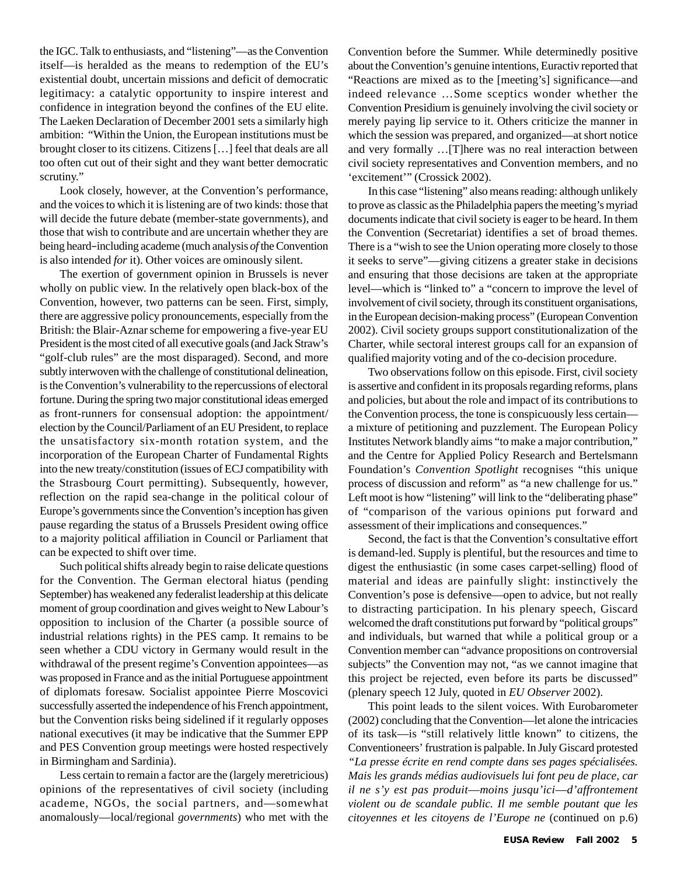the IGC. Talk to enthusiasts, and "listening"—as the Convention itself—is heralded as the means to redemption of the EU's existential doubt, uncertain missions and deficit of democratic legitimacy: a catalytic opportunity to inspire interest and confidence in integration beyond the confines of the EU elite. The Laeken Declaration of December 2001 sets a similarly high ambition: "Within the Union, the European institutions must be brought closer to its citizens. Citizens […] feel that deals are all too often cut out of their sight and they want better democratic scrutiny."

Look closely, however, at the Convention's performance, and the voices to which it is listening are of two kinds: those that will decide the future debate (member-state governments), and those that wish to contribute and are uncertain whether they are being heard–including academe (much analysis *of* the Convention is also intended *for* it). Other voices are ominously silent.

The exertion of government opinion in Brussels is never wholly on public view. In the relatively open black-box of the Convention, however, two patterns can be seen. First, simply, there are aggressive policy pronouncements, especially from the British: the Blair-Aznar scheme for empowering a five-year EU President is the most cited of all executive goals (and Jack Straw's "golf-club rules" are the most disparaged). Second, and more subtly interwoven with the challenge of constitutional delineation, is the Convention's vulnerability to the repercussions of electoral fortune. During the spring two major constitutional ideas emerged as front-runners for consensual adoption: the appointment/ election by the Council/Parliament of an EU President, to replace the unsatisfactory six-month rotation system, and the incorporation of the European Charter of Fundamental Rights into the new treaty/constitution (issues of ECJ compatibility with the Strasbourg Court permitting). Subsequently, however, reflection on the rapid sea-change in the political colour of Europe's governments since the Convention's inception has given pause regarding the status of a Brussels President owing office to a majority political affiliation in Council or Parliament that can be expected to shift over time.

Such political shifts already begin to raise delicate questions for the Convention. The German electoral hiatus (pending September) has weakened any federalist leadership at this delicate moment of group coordination and gives weight to New Labour's opposition to inclusion of the Charter (a possible source of industrial relations rights) in the PES camp. It remains to be seen whether a CDU victory in Germany would result in the withdrawal of the present regime's Convention appointees—as was proposed in France and as the initial Portuguese appointment of diplomats foresaw. Socialist appointee Pierre Moscovici successfully asserted the independence of his French appointment, but the Convention risks being sidelined if it regularly opposes national executives (it may be indicative that the Summer EPP and PES Convention group meetings were hosted respectively in Birmingham and Sardinia).

Less certain to remain a factor are the (largely meretricious) opinions of the representatives of civil society (including academe, NGOs, the social partners, and—somewhat anomalously—local/regional *governments*) who met with the Convention before the Summer. While determinedly positive about the Convention's genuine intentions, Euractiv reported that "Reactions are mixed as to the [meeting's] significance—and indeed relevance …Some sceptics wonder whether the Convention Presidium is genuinely involving the civil society or merely paying lip service to it. Others criticize the manner in which the session was prepared, and organized—at short notice and very formally …[T]here was no real interaction between civil society representatives and Convention members, and no 'excitement'" (Crossick 2002).

In this case "listening" also means reading: although unlikely to prove as classic as the Philadelphia papers the meeting's myriad documents indicate that civil society is eager to be heard. In them the Convention (Secretariat) identifies a set of broad themes. There is a "wish to see the Union operating more closely to those it seeks to serve"—giving citizens a greater stake in decisions and ensuring that those decisions are taken at the appropriate level—which is "linked to" a "concern to improve the level of involvement of civil society, through its constituent organisations, in the European decision-making process" (European Convention 2002). Civil society groups support constitutionalization of the Charter, while sectoral interest groups call for an expansion of qualified majority voting and of the co-decision procedure.

Two observations follow on this episode. First, civil society is assertive and confident in its proposals regarding reforms, plans and policies, but about the role and impact of its contributions to the Convention process, the tone is conspicuously less certain a mixture of petitioning and puzzlement. The European Policy Institutes Network blandly aims "to make a major contribution," and the Centre for Applied Policy Research and Bertelsmann Foundation's *Convention Spotlight* recognises "this unique process of discussion and reform" as "a new challenge for us." Left moot is how "listening" will link to the "deliberating phase" of "comparison of the various opinions put forward and assessment of their implications and consequences."

Second, the fact is that the Convention's consultative effort is demand-led. Supply is plentiful, but the resources and time to digest the enthusiastic (in some cases carpet-selling) flood of material and ideas are painfully slight: instinctively the Convention's pose is defensive—open to advice, but not really to distracting participation. In his plenary speech, Giscard welcomed the draft constitutions put forward by "political groups" and individuals, but warned that while a political group or a Convention member can "advance propositions on controversial subjects" the Convention may not, "as we cannot imagine that this project be rejected, even before its parts be discussed" (plenary speech 12 July, quoted in *EU Observer* 2002).

This point leads to the silent voices. With Eurobarometer (2002) concluding that the Convention—let alone the intricacies of its task—is "still relatively little known" to citizens, the Conventioneers' frustration is palpable. In July Giscard protested *"La presse écrite en rend compte dans ses pages spécialisées. Mais les grands médias audiovisuels lui font peu de place, car il ne s'y est pas produit*—*moins jusqu'ici*—*d'affrontement violent ou de scandale public. Il me semble poutant que les citoyennes et les citoyens de l'Europe ne* (continued on p.6)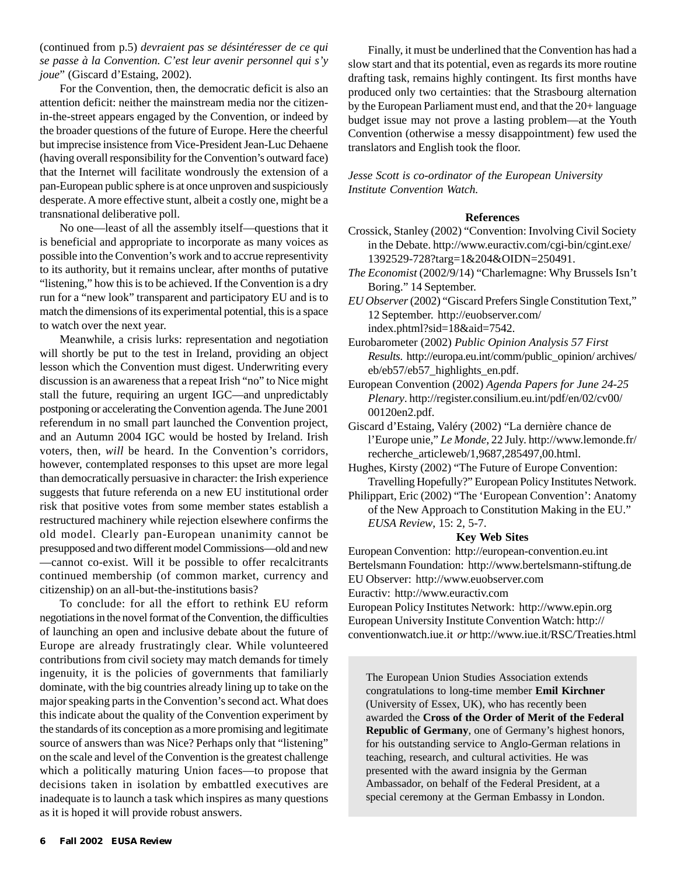(continued from p.5) *devraient pas se désintéresser de ce qui se passe à la Convention. C'est leur avenir personnel qui s'y joue*" (Giscard d'Estaing, 2002).

For the Convention, then, the democratic deficit is also an attention deficit: neither the mainstream media nor the citizenin-the-street appears engaged by the Convention, or indeed by the broader questions of the future of Europe. Here the cheerful but imprecise insistence from Vice-President Jean-Luc Dehaene (having overall responsibility for the Convention's outward face) that the Internet will facilitate wondrously the extension of a pan-European public sphere is at once unproven and suspiciously desperate. A more effective stunt, albeit a costly one, might be a transnational deliberative poll.

No one—least of all the assembly itself—questions that it is beneficial and appropriate to incorporate as many voices as possible into the Convention's work and to accrue representivity to its authority, but it remains unclear, after months of putative "listening," how this is to be achieved. If the Convention is a dry run for a "new look" transparent and participatory EU and is to match the dimensions of its experimental potential, this is a space to watch over the next year.

Meanwhile, a crisis lurks: representation and negotiation will shortly be put to the test in Ireland, providing an object lesson which the Convention must digest. Underwriting every discussion is an awareness that a repeat Irish "no" to Nice might stall the future, requiring an urgent IGC—and unpredictably postponing or accelerating the Convention agenda. The June 2001 referendum in no small part launched the Convention project, and an Autumn 2004 IGC would be hosted by Ireland. Irish voters, then, *will* be heard. In the Convention's corridors, however, contemplated responses to this upset are more legal than democratically persuasive in character: the Irish experience suggests that future referenda on a new EU institutional order risk that positive votes from some member states establish a restructured machinery while rejection elsewhere confirms the old model. Clearly pan-European unanimity cannot be presupposed and two different model Commissions—old and new —cannot co-exist. Will it be possible to offer recalcitrants continued membership (of common market, currency and citizenship) on an all-but-the-institutions basis?

To conclude: for all the effort to rethink EU reform negotiations in the novel format of the Convention, the difficulties of launching an open and inclusive debate about the future of Europe are already frustratingly clear. While volunteered contributions from civil society may match demands for timely ingenuity, it is the policies of governments that familiarly dominate, with the big countries already lining up to take on the major speaking parts in the Convention's second act. What does this indicate about the quality of the Convention experiment by the standards of its conception as a more promising and legitimate source of answers than was Nice? Perhaps only that "listening" on the scale and level of the Convention is the greatest challenge which a politically maturing Union faces—to propose that decisions taken in isolation by embattled executives are inadequate is to launch a task which inspires as many questions as it is hoped it will provide robust answers.

Finally, it must be underlined that the Convention has had a slow start and that its potential, even as regards its more routine drafting task, remains highly contingent. Its first months have produced only two certainties: that the Strasbourg alternation by the European Parliament must end, and that the 20+ language budget issue may not prove a lasting problem—at the Youth Convention (otherwise a messy disappointment) few used the translators and English took the floor.

*Jesse Scott is co-ordinator of the European University Institute Convention Watch.*

#### **References**

- Crossick, Stanley (2002) "Convention: Involving Civil Society in the Debate. http://www.euractiv.com/cgi-bin/cgint.exe/ 1392529-728?targ=1&204&OIDN=250491.
- *The Economist* (2002/9/14) "Charlemagne: Why Brussels Isn't Boring." 14 September.
- *EU Observer* (2002) "Giscard Prefers Single Constitution Text," 12 September. http://euobserver.com/ index.phtml?sid=18&aid=7542.
- Eurobarometer (2002) *Public Opinion Analysis 57 First Results*. http://europa.eu.int/comm/public\_opinion/ archives/ eb/eb57/eb57\_highlights\_en.pdf.
- European Convention (2002) *Agenda Papers for June 24-25 Plenary*. http://register.consilium.eu.int/pdf/en/02/cv00/ 00120en2.pdf.
- Giscard d'Estaing, Valéry (2002) "La dernière chance de l'Europe unie," *Le Monde*, 22 July. http://www.lemonde.fr/ recherche\_articleweb/1,9687,285497,00.html.
- Hughes, Kirsty (2002) "The Future of Europe Convention: Travelling Hopefully?" European Policy Institutes Network.
- Philippart, Eric (2002) "The 'European Convention': Anatomy of the New Approach to Constitution Making in the EU." *EUSA Review*, 15: 2, 5-7.

#### **Key Web Sites**

European Convention: http://european-convention.eu.int Bertelsmann Foundation: http://www.bertelsmann-stiftung.de EU Observer: http://www.euobserver.com

Euractiv: http://www.euractiv.com

European Policy Institutes Network: http://www.epin.org European University Institute Convention Watch: http:// conventionwatch.iue.it *or* http://www.iue.it/RSC/Treaties.html

The European Union Studies Association extends congratulations to long-time member **Emil Kirchner** (University of Essex, UK), who has recently been awarded the **Cross of the Order of Merit of the Federal Republic of Germany**, one of Germany's highest honors, for his outstanding service to Anglo-German relations in teaching, research, and cultural activities. He was presented with the award insignia by the German Ambassador, on behalf of the Federal President, at a special ceremony at the German Embassy in London.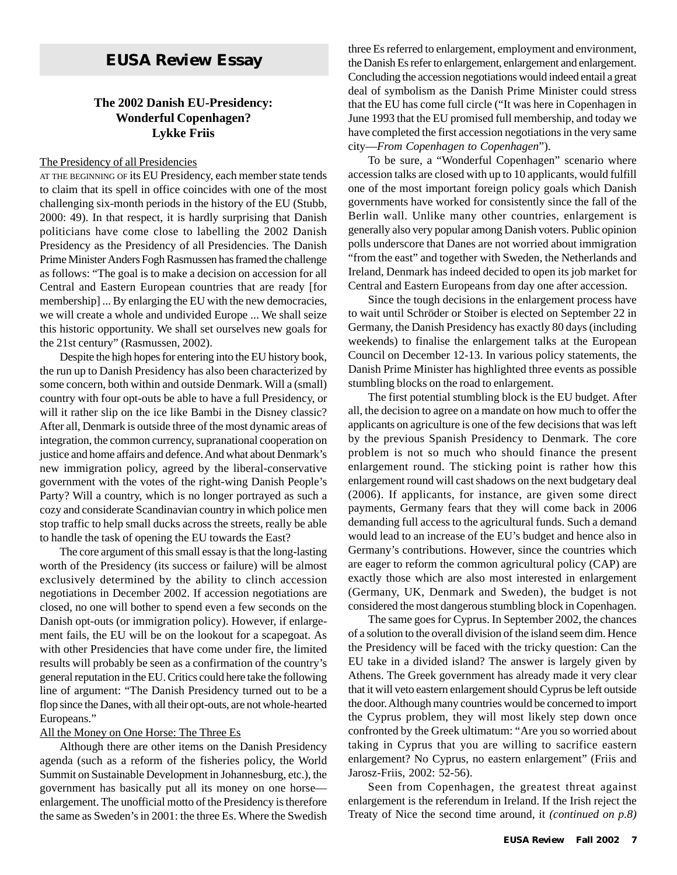## *EUSA Review* **Essay**

### **The 2002 Danish EU-Presidency: Wonderful Copenhagen? Lykke Friis**

#### The Presidency of all Presidencies

AT THE BEGINNING OF its EU Presidency, each member state tends to claim that its spell in office coincides with one of the most challenging six-month periods in the history of the EU (Stubb, 2000: 49). In that respect, it is hardly surprising that Danish politicians have come close to labelling the 2002 Danish Presidency as the Presidency of all Presidencies. The Danish Prime Minister Anders Fogh Rasmussen has framed the challenge as follows: "The goal is to make a decision on accession for all Central and Eastern European countries that are ready [for membership] ... By enlarging the EU with the new democracies, we will create a whole and undivided Europe ... We shall seize this historic opportunity. We shall set ourselves new goals for the 21st century" (Rasmussen, 2002).

Despite the high hopes for entering into the EU history book, the run up to Danish Presidency has also been characterized by some concern, both within and outside Denmark. Will a (small) country with four opt-outs be able to have a full Presidency, or will it rather slip on the ice like Bambi in the Disney classic? After all, Denmark is outside three of the most dynamic areas of integration, the common currency, supranational cooperation on justice and home affairs and defence. And what about Denmark's new immigration policy, agreed by the liberal-conservative government with the votes of the right-wing Danish People's Party? Will a country, which is no longer portrayed as such a cozy and considerate Scandinavian country in which police men stop traffic to help small ducks across the streets, really be able to handle the task of opening the EU towards the East?

The core argument of this small essay is that the long-lasting worth of the Presidency (its success or failure) will be almost exclusively determined by the ability to clinch accession negotiations in December 2002. If accession negotiations are closed, no one will bother to spend even a few seconds on the Danish opt-outs (or immigration policy). However, if enlargement fails, the EU will be on the lookout for a scapegoat. As with other Presidencies that have come under fire, the limited results will probably be seen as a confirmation of the country's general reputation in the EU. Critics could here take the following line of argument: "The Danish Presidency turned out to be a flop since the Danes, with all their opt-outs, are not whole-hearted Europeans."

#### All the Money on One Horse: The Three Es

Although there are other items on the Danish Presidency agenda (such as a reform of the fisheries policy, the World Summit on Sustainable Development in Johannesburg, etc.), the government has basically put all its money on one horse enlargement. The unofficial motto of the Presidency is therefore the same as Sweden's in 2001: the three Es. Where the Swedish three Es referred to enlargement, employment and environment, the Danish Es refer to enlargement, enlargement and enlargement. Concluding the accession negotiations would indeed entail a great deal of symbolism as the Danish Prime Minister could stress that the EU has come full circle ("It was here in Copenhagen in June 1993 that the EU promised full membership, and today we have completed the first accession negotiations in the very same city—*From Copenhagen to Copenhagen*").

To be sure, a "Wonderful Copenhagen" scenario where accession talks are closed with up to 10 applicants, would fulfill one of the most important foreign policy goals which Danish governments have worked for consistently since the fall of the Berlin wall. Unlike many other countries, enlargement is generally also very popular among Danish voters. Public opinion polls underscore that Danes are not worried about immigration "from the east" and together with Sweden, the Netherlands and Ireland, Denmark has indeed decided to open its job market for Central and Eastern Europeans from day one after accession.

Since the tough decisions in the enlargement process have to wait until Schröder or Stoiber is elected on September 22 in Germany, the Danish Presidency has exactly 80 days (including weekends) to finalise the enlargement talks at the European Council on December 12-13. In various policy statements, the Danish Prime Minister has highlighted three events as possible stumbling blocks on the road to enlargement.

The first potential stumbling block is the EU budget. After all, the decision to agree on a mandate on how much to offer the applicants on agriculture is one of the few decisions that was left by the previous Spanish Presidency to Denmark. The core problem is not so much who should finance the present enlargement round. The sticking point is rather how this enlargement round will cast shadows on the next budgetary deal (2006). If applicants, for instance, are given some direct payments, Germany fears that they will come back in 2006 demanding full access to the agricultural funds. Such a demand would lead to an increase of the EU's budget and hence also in Germany's contributions. However, since the countries which are eager to reform the common agricultural policy (CAP) are exactly those which are also most interested in enlargement (Germany, UK, Denmark and Sweden), the budget is not considered the most dangerous stumbling block in Copenhagen.

The same goes for Cyprus. In September 2002, the chances of a solution to the overall division of the island seem dim. Hence the Presidency will be faced with the tricky question: Can the EU take in a divided island? The answer is largely given by Athens. The Greek government has already made it very clear that it will veto eastern enlargement should Cyprus be left outside the door. Although many countries would be concerned to import the Cyprus problem, they will most likely step down once confronted by the Greek ultimatum: "Are you so worried about taking in Cyprus that you are willing to sacrifice eastern enlargement? No Cyprus, no eastern enlargement" (Friis and Jarosz-Friis, 2002: 52-56).

Seen from Copenhagen, the greatest threat against enlargement is the referendum in Ireland. If the Irish reject the Treaty of Nice the second time around, it *(continued on p.8)*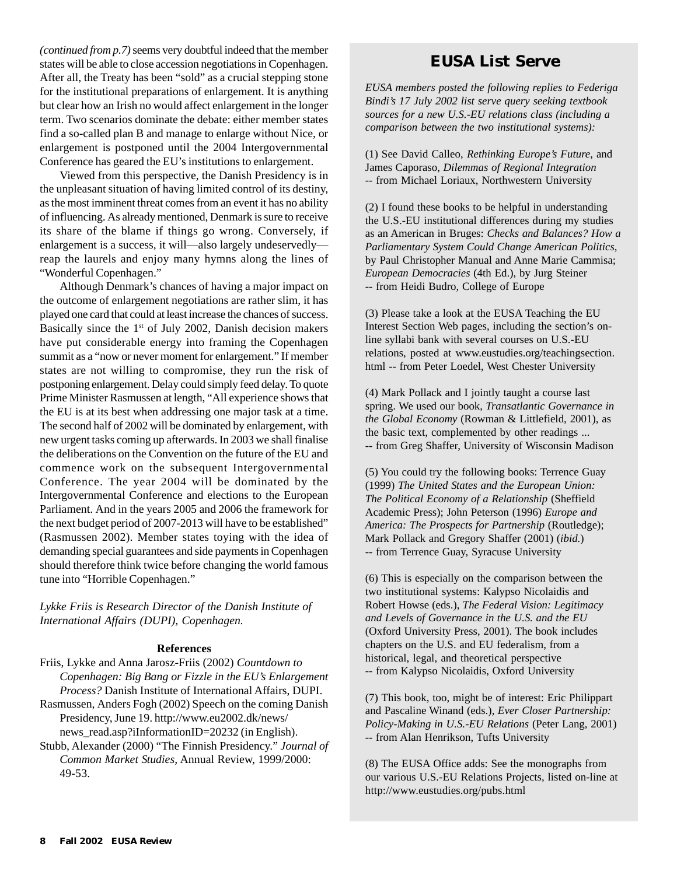*(continued from p.7)* seems very doubtful indeed that the member states will be able to close accession negotiations in Copenhagen. After all, the Treaty has been "sold" as a crucial stepping stone for the institutional preparations of enlargement. It is anything but clear how an Irish no would affect enlargement in the longer term. Two scenarios dominate the debate: either member states find a so-called plan B and manage to enlarge without Nice, or enlargement is postponed until the 2004 Intergovernmental Conference has geared the EU's institutions to enlargement.

Viewed from this perspective, the Danish Presidency is in the unpleasant situation of having limited control of its destiny, as the most imminent threat comes from an event it has no ability of influencing. As already mentioned, Denmark is sure to receive its share of the blame if things go wrong. Conversely, if enlargement is a success, it will—also largely undeservedly reap the laurels and enjoy many hymns along the lines of "Wonderful Copenhagen."

Although Denmark's chances of having a major impact on the outcome of enlargement negotiations are rather slim, it has played one card that could at least increase the chances of success. Basically since the  $1<sup>st</sup>$  of July 2002, Danish decision makers have put considerable energy into framing the Copenhagen summit as a "now or never moment for enlargement." If member states are not willing to compromise, they run the risk of postponing enlargement. Delay could simply feed delay. To quote Prime Minister Rasmussen at length, "All experience shows that the EU is at its best when addressing one major task at a time. The second half of 2002 will be dominated by enlargement, with new urgent tasks coming up afterwards. In 2003 we shall finalise the deliberations on the Convention on the future of the EU and commence work on the subsequent Intergovernmental Conference. The year 2004 will be dominated by the Intergovernmental Conference and elections to the European Parliament. And in the years 2005 and 2006 the framework for the next budget period of 2007-2013 will have to be established" (Rasmussen 2002). Member states toying with the idea of demanding special guarantees and side payments in Copenhagen should therefore think twice before changing the world famous tune into "Horrible Copenhagen."

*Lykke Friis is Research Director of the Danish Institute of International Affairs (DUPI), Copenhagen.*

#### **References**

- Friis, Lykke and Anna Jarosz-Friis (2002) *Countdown to Copenhagen: Big Bang or Fizzle in the EU's Enlargement Process?* Danish Institute of International Affairs, DUPI.
- Rasmussen, Anders Fogh (2002) Speech on the coming Danish Presidency, June 19. http://www.eu2002.dk/news/ news read.asp?iInformationID=20232 (in English).
- Stubb, Alexander (2000) "The Finnish Presidency." *Journal of Common Market Studies*, Annual Review, 1999/2000: 49-53.

## **EUSA List Serve**

*EUSA members posted the following replies to Federiga Bindi's 17 July 2002 list serve query seeking textbook sources for a new U.S.-EU relations class (including a comparison between the two institutional systems):*

(1) See David Calleo, *Rethinking Europe's Future*, and James Caporaso, *Dilemmas of Regional Integration* -- from Michael Loriaux, Northwestern University

(2) I found these books to be helpful in understanding the U.S.-EU institutional differences during my studies as an American in Bruges: *Checks and Balances? How a Parliamentary System Could Change American Politics*, by Paul Christopher Manual and Anne Marie Cammisa; *European Democracies* (4th Ed.), by Jurg Steiner -- from Heidi Budro, College of Europe

(3) Please take a look at the EUSA Teaching the EU Interest Section Web pages, including the section's online syllabi bank with several courses on U.S.-EU relations, posted at www.eustudies.org/teachingsection. html -- from Peter Loedel, West Chester University

(4) Mark Pollack and I jointly taught a course last spring. We used our book, *Transatlantic Governance in the Global Economy* (Rowman & Littlefield, 2001), as the basic text, complemented by other readings ... -- from Greg Shaffer, University of Wisconsin Madison

(5) You could try the following books: Terrence Guay (1999) *The United States and the European Union: The Political Economy of a Relationship* (Sheffield Academic Press); John Peterson (1996) *Europe and America: The Prospects for Partnership* (Routledge); Mark Pollack and Gregory Shaffer (2001) (*ibid.*) -- from Terrence Guay, Syracuse University

(6) This is especially on the comparison between the two institutional systems: Kalypso Nicolaidis and Robert Howse (eds.), *The Federal Vision: Legitimacy and Levels of Governance in the U.S. and the EU* (Oxford University Press, 2001). The book includes chapters on the U.S. and EU federalism, from a historical, legal, and theoretical perspective -- from Kalypso Nicolaidis, Oxford University

(7) This book, too, might be of interest: Eric Philippart and Pascaline Winand (eds.), *Ever Closer Partnership: Policy-Making in U.S.-EU Relations* (Peter Lang, 2001) -- from Alan Henrikson, Tufts University

(8) The EUSA Office adds: See the monographs from our various U.S.-EU Relations Projects, listed on-line at http://www.eustudies.org/pubs.html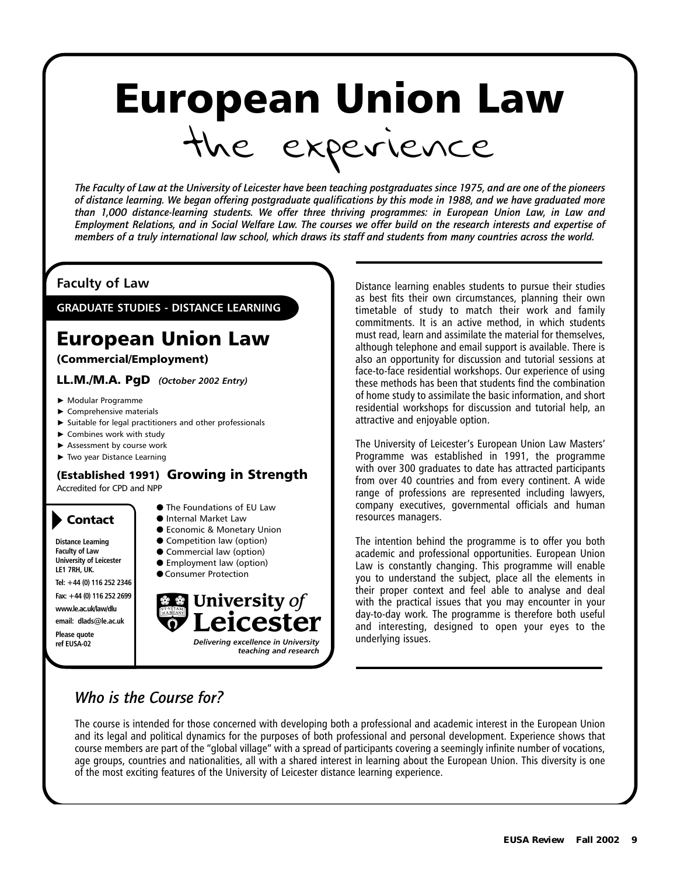# European Union Law the experience

*The Faculty of Law at the University of Leicester have been teaching postgraduates since 1975, and are one of the pioneers of distance learning. We began offering postgraduate qualifications by this mode in 1988, and we have graduated more than 1,000 distance-learning students. We offer three thriving programmes: in European Union Law, in Law and Employment Relations, and in Social Welfare Law. The courses we offer build on the research interests and expertise of members of a truly international law school, which draws its staff and students from many countries across the world.*

## **Faculty of Law**

**GRADUATE STUDIES - DISTANCE LEARNING**

## European Union Law

(Commercial/Employment)

LL.M./M.A. PgD *(October 2002 Entry)*

- Modular Programme
- Comprehensive materials
- $\triangleright$  Suitable for legal practitioners and other professionals
- ▶ Combines work with study
- Assessment by course work
- Two year Distance Learning

#### (Established 1991) Growing in Strength Accredited for CPD and NPP

## Contact

**Distance Learning Faculty of Law University of Leicester LE1 7RH, UK.**

**Tel: +44 (0) 116 252 2346 Fax: +44 (0) 116 252 2699**

**www.le.ac.uk/law/dlu** 

**email: dlads@le.ac.uk**

**Please quote** 

- The Foundations of EU Law
- Internal Market Law
- Economic & Monetary Union
- Competition law (option)
- Commercial law (option)
- Employment law (option)
- Consumer Protection



Distance learning enables students to pursue their studies as best fits their own circumstances, planning their own timetable of study to match their work and family commitments. It is an active method, in which students must read, learn and assimilate the material for themselves, although telephone and email support is available. There is also an opportunity for discussion and tutorial sessions at face-to-face residential workshops. Our experience of using these methods has been that students find the combination of home study to assimilate the basic information, and short residential workshops for discussion and tutorial help, an attractive and enjoyable option.

The University of Leicester's European Union Law Masters' Programme was established in 1991, the programme with over 300 graduates to date has attracted participants from over 40 countries and from every continent. A wide range of professions are represented including lawyers, company executives, governmental officials and human resources managers.

The intention behind the programme is to offer you both academic and professional opportunities. European Union Law is constantly changing. This programme will enable you to understand the subject, place all the elements in their proper context and feel able to analyse and deal with the practical issues that you may encounter in your day-to-day work. The programme is therefore both useful and interesting, designed to open your eyes to the underlying issues.

## *Who is the Course for?*

The course is intended for those concerned with developing both a professional and academic interest in the European Union and its legal and political dynamics for the purposes of both professional and personal development. Experience shows that course members are part of the "global village" with a spread of participants covering a seemingly infinite number of vocations, age groups, countries and nationalities, all with a shared interest in learning about the European Union. This diversity is one of the most exciting features of the University of Leicester distance learning experience.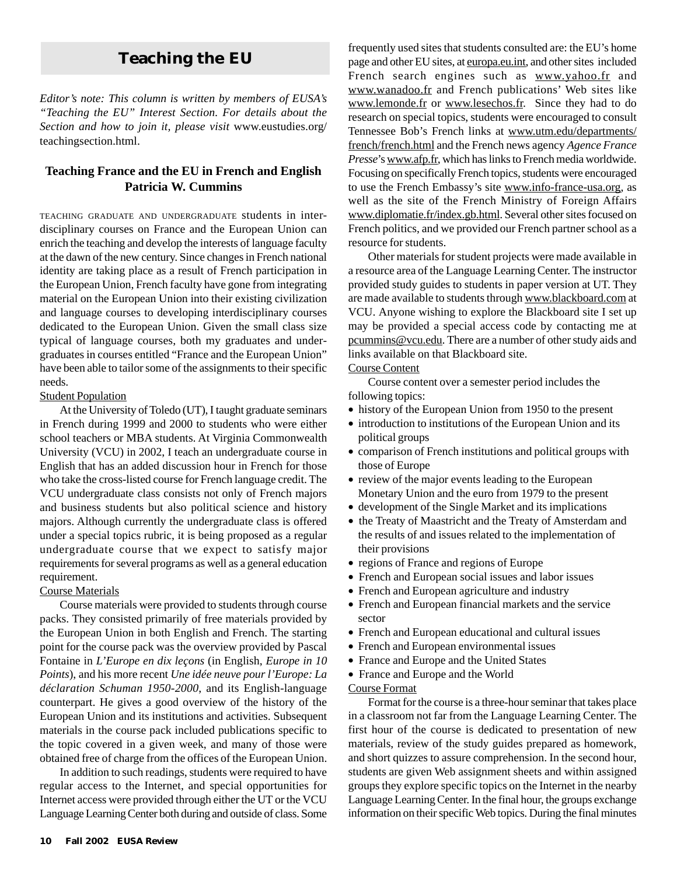## **Teaching the EU**

*Editor's note: This column is written by members of EUSA's "Teaching the EU" Interest Section. For details about the Section and how to join it, please visit* www.eustudies.org/ teachingsection.html.

#### **Teaching France and the EU in French and English Patricia W. Cummins**

TEACHING GRADUATE AND UNDERGRADUATE students in interdisciplinary courses on France and the European Union can enrich the teaching and develop the interests of language faculty at the dawn of the new century. Since changes in French national identity are taking place as a result of French participation in the European Union, French faculty have gone from integrating material on the European Union into their existing civilization and language courses to developing interdisciplinary courses dedicated to the European Union. Given the small class size typical of language courses, both my graduates and undergraduates in courses entitled "France and the European Union" have been able to tailor some of the assignments to their specific needs.

#### Student Population

At the University of Toledo (UT), I taught graduate seminars in French during 1999 and 2000 to students who were either school teachers or MBA students. At Virginia Commonwealth University (VCU) in 2002, I teach an undergraduate course in English that has an added discussion hour in French for those who take the cross-listed course for French language credit. The VCU undergraduate class consists not only of French majors and business students but also political science and history majors. Although currently the undergraduate class is offered under a special topics rubric, it is being proposed as a regular undergraduate course that we expect to satisfy major requirements for several programs as well as a general education requirement.

#### Course Materials

Course materials were provided to students through course packs. They consisted primarily of free materials provided by the European Union in both English and French. The starting point for the course pack was the overview provided by Pascal Fontaine in *L'Europe en dix leçons* (in English, *Europe in 10 Points*), and his more recent *Une idée neuve pour l'Europe: La déclaration Schuman 1950-2000*, and its English-language counterpart. He gives a good overview of the history of the European Union and its institutions and activities. Subsequent materials in the course pack included publications specific to the topic covered in a given week, and many of those were obtained free of charge from the offices of the European Union.

In addition to such readings, students were required to have regular access to the Internet, and special opportunities for Internet access were provided through either the UT or the VCU Language Learning Center both during and outside of class. Some frequently used sites that students consulted are: the EU's home page and other EU sites, at europa.eu.int, and other sites included French search engines such as www.yahoo.fr and www.wanadoo.fr and French publications' Web sites like www.lemonde.fr or www.lesechos.fr. Since they had to do research on special topics, students were encouraged to consult Tennessee Bob's French links at www.utm.edu/departments/ french/french.html and the French news agency *Agence France Presse*'s www.afp.fr, which has links to French media worldwide. Focusing on specifically French topics, students were encouraged to use the French Embassy's site www.info-france-usa.org, as well as the site of the French Ministry of Foreign Affairs www.diplomatie.fr/index.gb.html. Several other sites focused on French politics, and we provided our French partner school as a resource for students.

Other materials for student projects were made available in a resource area of the Language Learning Center. The instructor provided study guides to students in paper version at UT. They are made available to students through www.blackboard.com at VCU. Anyone wishing to explore the Blackboard site I set up may be provided a special access code by contacting me at pcummins@vcu.edu. There are a number of other study aids and links available on that Blackboard site.

#### Course Content

Course content over a semester period includes the following topics:

- history of the European Union from 1950 to the present
- introduction to institutions of the European Union and its political groups
- comparison of French institutions and political groups with those of Europe
- review of the major events leading to the European Monetary Union and the euro from 1979 to the present
- development of the Single Market and its implications
- the Treaty of Maastricht and the Treaty of Amsterdam and the results of and issues related to the implementation of their provisions
- regions of France and regions of Europe
- French and European social issues and labor issues
- French and European agriculture and industry
- French and European financial markets and the service sector
- French and European educational and cultural issues
- French and European environmental issues
- France and Europe and the United States
- France and Europe and the World

#### Course Format

Format for the course is a three-hour seminar that takes place in a classroom not far from the Language Learning Center. The first hour of the course is dedicated to presentation of new materials, review of the study guides prepared as homework, and short quizzes to assure comprehension. In the second hour, students are given Web assignment sheets and within assigned groups they explore specific topics on the Internet in the nearby Language Learning Center. In the final hour, the groups exchange information on their specific Web topics. During the final minutes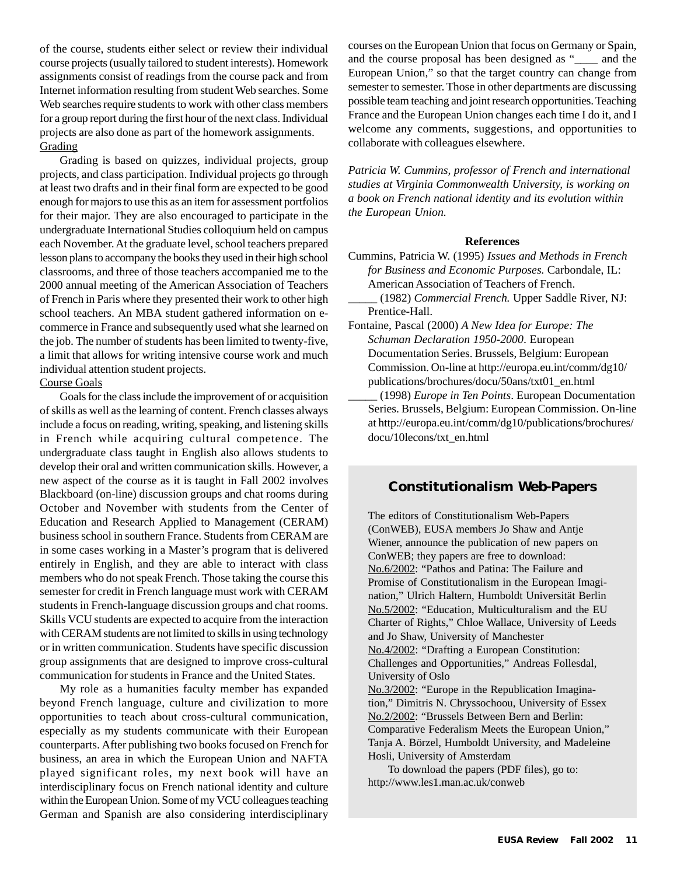of the course, students either select or review their individual course projects (usually tailored to student interests). Homework assignments consist of readings from the course pack and from Internet information resulting from student Web searches. Some Web searches require students to work with other class members for a group report during the first hour of the next class. Individual projects are also done as part of the homework assignments. **Grading** 

Grading is based on quizzes, individual projects, group projects, and class participation. Individual projects go through at least two drafts and in their final form are expected to be good enough for majors to use this as an item for assessment portfolios for their major. They are also encouraged to participate in the undergraduate International Studies colloquium held on campus each November. At the graduate level, school teachers prepared lesson plans to accompany the books they used in their high school classrooms, and three of those teachers accompanied me to the 2000 annual meeting of the American Association of Teachers of French in Paris where they presented their work to other high school teachers. An MBA student gathered information on ecommerce in France and subsequently used what she learned on the job. The number of students has been limited to twenty-five, a limit that allows for writing intensive course work and much individual attention student projects.

#### Course Goals

Goals for the class include the improvement of or acquisition of skills as well as the learning of content. French classes always include a focus on reading, writing, speaking, and listening skills in French while acquiring cultural competence. The undergraduate class taught in English also allows students to develop their oral and written communication skills. However, a new aspect of the course as it is taught in Fall 2002 involves Blackboard (on-line) discussion groups and chat rooms during October and November with students from the Center of Education and Research Applied to Management (CERAM) business school in southern France. Students from CERAM are in some cases working in a Master's program that is delivered entirely in English, and they are able to interact with class members who do not speak French. Those taking the course this semester for credit in French language must work with CERAM students in French-language discussion groups and chat rooms. Skills VCU students are expected to acquire from the interaction with CERAM students are not limited to skills in using technology or in written communication. Students have specific discussion group assignments that are designed to improve cross-cultural communication for students in France and the United States.

My role as a humanities faculty member has expanded beyond French language, culture and civilization to more opportunities to teach about cross-cultural communication, especially as my students communicate with their European counterparts. After publishing two books focused on French for business, an area in which the European Union and NAFTA played significant roles, my next book will have an interdisciplinary focus on French national identity and culture within the European Union. Some of my VCU colleagues teaching German and Spanish are also considering interdisciplinary

courses on the European Union that focus on Germany or Spain, and the course proposal has been designed as "\_\_\_\_ and the European Union," so that the target country can change from semester to semester. Those in other departments are discussing possible team teaching and joint research opportunities. Teaching France and the European Union changes each time I do it, and I welcome any comments, suggestions, and opportunities to collaborate with colleagues elsewhere.

*Patricia W. Cummins, professor of French and international studies at Virginia Commonwealth University, is working on a book on French national identity and its evolution within the European Union.*

#### **References**

- Cummins, Patricia W. (1995) *Issues and Methods in French for Business and Economic Purposes.* Carbondale, IL: American Association of Teachers of French.
- *\_\_\_\_\_* (1982) *Commercial French.* Upper Saddle River, NJ: Prentice-Hall.
- Fontaine, Pascal (2000) *A New Idea for Europe: The Schuman Declaration 1950-2000*. European Documentation Series. Brussels, Belgium: European Commission. On-line at http://europa.eu.int/comm/dg10/ publications/brochures/docu/50ans/txt01\_en.html
	- \_\_\_\_\_ (1998) *Europe in Ten Points*. European Documentation Series. Brussels, Belgium: European Commission. On-line at http://europa.eu.int/comm/dg10/publications/brochures/ docu/10lecons/txt\_en.html

#### **Constitutionalism Web-Papers**

The editors of Constitutionalism Web-Papers (ConWEB), EUSA members Jo Shaw and Antje Wiener, announce the publication of new papers on ConWEB; they papers are free to download: No.6/2002: "Pathos and Patina: The Failure and Promise of Constitutionalism in the European Imagination," Ulrich Haltern, Humboldt Universität Berlin No.5/2002: "Education, Multiculturalism and the EU Charter of Rights," Chloe Wallace, University of Leeds and Jo Shaw, University of Manchester No.4/2002: "Drafting a European Constitution: Challenges and Opportunities," Andreas Follesdal, University of Oslo

No.3/2002: "Europe in the Republication Imagination," Dimitris N. Chryssochoou, University of Essex No.2/2002: "Brussels Between Bern and Berlin: Comparative Federalism Meets the European Union," Tanja A. Börzel, Humboldt University, and Madeleine Hosli, University of Amsterdam

To download the papers (PDF files), go to: http://www.les1.man.ac.uk/conweb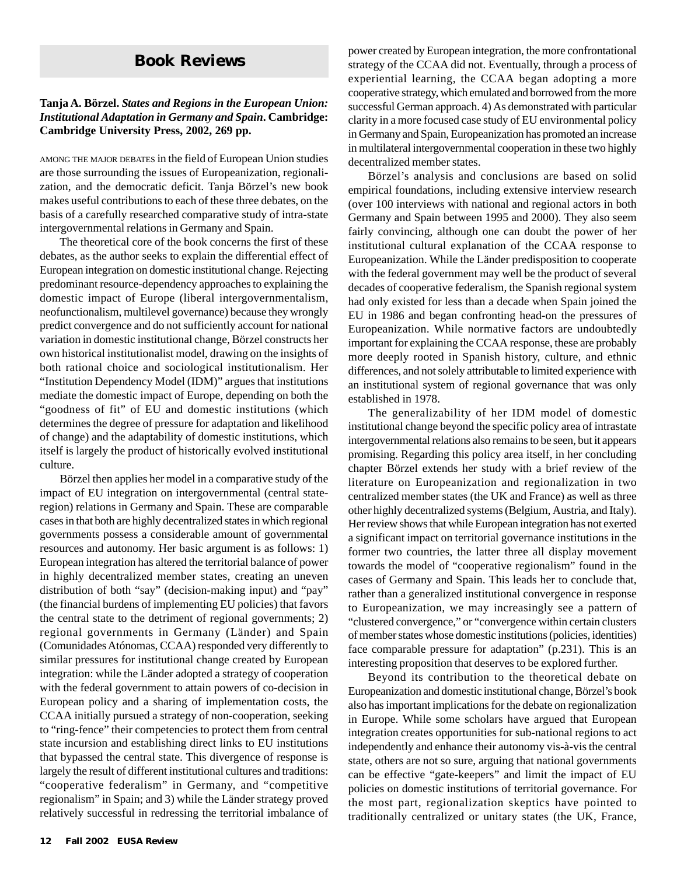## **Book Reviews**

#### **Tanja A. Börzel.** *States and Regions in the European Union: Institutional Adaptation in Germany and Spain***. Cambridge: Cambridge University Press, 2002, 269 pp.**

AMONG THE MAJOR DEBATES in the field of European Union studies are those surrounding the issues of Europeanization, regionalization, and the democratic deficit. Tanja Börzel's new book makes useful contributions to each of these three debates, on the basis of a carefully researched comparative study of intra-state intergovernmental relations in Germany and Spain.

The theoretical core of the book concerns the first of these debates, as the author seeks to explain the differential effect of European integration on domestic institutional change. Rejecting predominant resource-dependency approaches to explaining the domestic impact of Europe (liberal intergovernmentalism, neofunctionalism, multilevel governance) because they wrongly predict convergence and do not sufficiently account for national variation in domestic institutional change, Börzel constructs her own historical institutionalist model, drawing on the insights of both rational choice and sociological institutionalism. Her "Institution Dependency Model (IDM)" argues that institutions mediate the domestic impact of Europe, depending on both the "goodness of fit" of EU and domestic institutions (which determines the degree of pressure for adaptation and likelihood of change) and the adaptability of domestic institutions, which itself is largely the product of historically evolved institutional culture.

Börzel then applies her model in a comparative study of the impact of EU integration on intergovernmental (central stateregion) relations in Germany and Spain. These are comparable cases in that both are highly decentralized states in which regional governments possess a considerable amount of governmental resources and autonomy. Her basic argument is as follows: 1) European integration has altered the territorial balance of power in highly decentralized member states, creating an uneven distribution of both "say" (decision-making input) and "pay" (the financial burdens of implementing EU policies) that favors the central state to the detriment of regional governments; 2) regional governments in Germany (Länder) and Spain (Comunidades Atónomas, CCAA) responded very differently to similar pressures for institutional change created by European integration: while the Länder adopted a strategy of cooperation with the federal government to attain powers of co-decision in European policy and a sharing of implementation costs, the CCAA initially pursued a strategy of non-cooperation, seeking to "ring-fence" their competencies to protect them from central state incursion and establishing direct links to EU institutions that bypassed the central state. This divergence of response is largely the result of different institutional cultures and traditions: "cooperative federalism" in Germany, and "competitive regionalism" in Spain; and 3) while the Länder strategy proved relatively successful in redressing the territorial imbalance of power created by European integration, the more confrontational strategy of the CCAA did not. Eventually, through a process of experiential learning, the CCAA began adopting a more cooperative strategy, which emulated and borrowed from the more successful German approach. 4) As demonstrated with particular clarity in a more focused case study of EU environmental policy in Germany and Spain, Europeanization has promoted an increase in multilateral intergovernmental cooperation in these two highly decentralized member states.

Börzel's analysis and conclusions are based on solid empirical foundations, including extensive interview research (over 100 interviews with national and regional actors in both Germany and Spain between 1995 and 2000). They also seem fairly convincing, although one can doubt the power of her institutional cultural explanation of the CCAA response to Europeanization. While the Länder predisposition to cooperate with the federal government may well be the product of several decades of cooperative federalism, the Spanish regional system had only existed for less than a decade when Spain joined the EU in 1986 and began confronting head-on the pressures of Europeanization. While normative factors are undoubtedly important for explaining the CCAA response, these are probably more deeply rooted in Spanish history, culture, and ethnic differences, and not solely attributable to limited experience with an institutional system of regional governance that was only established in 1978.

The generalizability of her IDM model of domestic institutional change beyond the specific policy area of intrastate intergovernmental relations also remains to be seen, but it appears promising. Regarding this policy area itself, in her concluding chapter Börzel extends her study with a brief review of the literature on Europeanization and regionalization in two centralized member states (the UK and France) as well as three other highly decentralized systems (Belgium, Austria, and Italy). Her review shows that while European integration has not exerted a significant impact on territorial governance institutions in the former two countries, the latter three all display movement towards the model of "cooperative regionalism" found in the cases of Germany and Spain. This leads her to conclude that, rather than a generalized institutional convergence in response to Europeanization, we may increasingly see a pattern of "clustered convergence," or "convergence within certain clusters of member states whose domestic institutions (policies, identities) face comparable pressure for adaptation" (p.231). This is an interesting proposition that deserves to be explored further.

Beyond its contribution to the theoretical debate on Europeanization and domestic institutional change, Börzel's book also has important implications for the debate on regionalization in Europe. While some scholars have argued that European integration creates opportunities for sub-national regions to act independently and enhance their autonomy vis-à-vis the central state, others are not so sure, arguing that national governments can be effective "gate-keepers" and limit the impact of EU policies on domestic institutions of territorial governance. For the most part, regionalization skeptics have pointed to traditionally centralized or unitary states (the UK, France,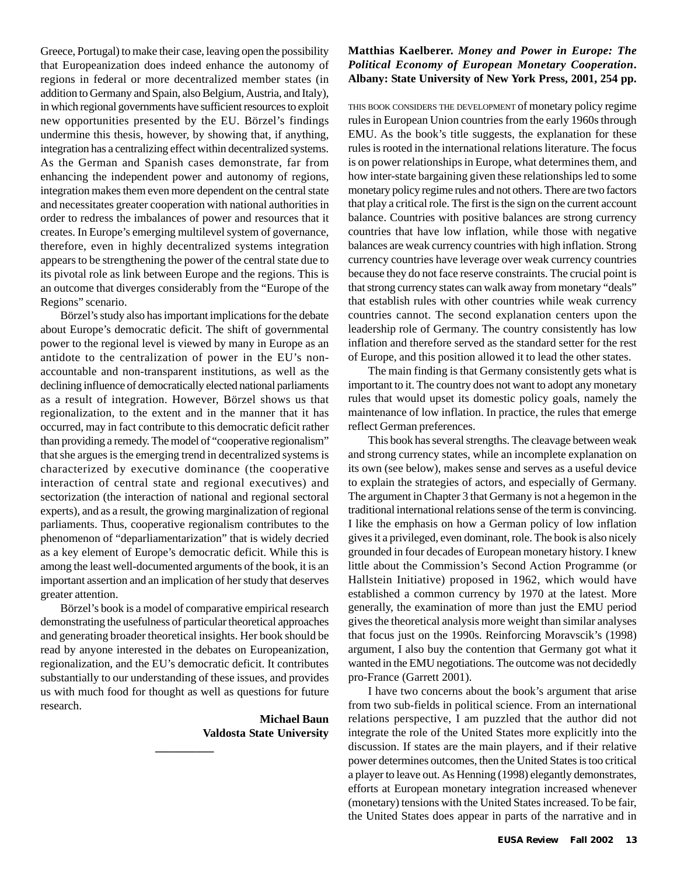Greece, Portugal) to make their case, leaving open the possibility that Europeanization does indeed enhance the autonomy of regions in federal or more decentralized member states (in addition to Germany and Spain, also Belgium, Austria, and Italy), in which regional governments have sufficient resources to exploit new opportunities presented by the EU. Börzel's findings undermine this thesis, however, by showing that, if anything, integration has a centralizing effect within decentralized systems. As the German and Spanish cases demonstrate, far from enhancing the independent power and autonomy of regions, integration makes them even more dependent on the central state and necessitates greater cooperation with national authorities in order to redress the imbalances of power and resources that it creates. In Europe's emerging multilevel system of governance, therefore, even in highly decentralized systems integration appears to be strengthening the power of the central state due to its pivotal role as link between Europe and the regions. This is an outcome that diverges considerably from the "Europe of the Regions" scenario.

Börzel's study also has important implications for the debate about Europe's democratic deficit. The shift of governmental power to the regional level is viewed by many in Europe as an antidote to the centralization of power in the EU's nonaccountable and non-transparent institutions, as well as the declining influence of democratically elected national parliaments as a result of integration. However, Börzel shows us that regionalization, to the extent and in the manner that it has occurred, may in fact contribute to this democratic deficit rather than providing a remedy. The model of "cooperative regionalism" that she argues is the emerging trend in decentralized systems is characterized by executive dominance (the cooperative interaction of central state and regional executives) and sectorization (the interaction of national and regional sectoral experts), and as a result, the growing marginalization of regional parliaments. Thus, cooperative regionalism contributes to the phenomenon of "deparliamentarization" that is widely decried as a key element of Europe's democratic deficit. While this is among the least well-documented arguments of the book, it is an important assertion and an implication of her study that deserves greater attention.

Börzel's book is a model of comparative empirical research demonstrating the usefulness of particular theoretical approaches and generating broader theoretical insights. Her book should be read by anyone interested in the debates on Europeanization, regionalization, and the EU's democratic deficit. It contributes substantially to our understanding of these issues, and provides us with much food for thought as well as questions for future research.

**\_\_\_\_\_\_\_\_\_\_**

**Michael Baun Valdosta State University**

#### **Matthias Kaelberer.** *Money and Power in Europe: The Political Economy of European Monetary Cooperation***. Albany: State University of New York Press, 2001, 254 pp.**

THIS BOOK CONSIDERS THE DEVELOPMENT of monetary policy regime rules in European Union countries from the early 1960s through EMU. As the book's title suggests, the explanation for these rules is rooted in the international relations literature. The focus is on power relationships in Europe, what determines them, and how inter-state bargaining given these relationships led to some monetary policy regime rules and not others. There are two factors that play a critical role. The first is the sign on the current account balance. Countries with positive balances are strong currency countries that have low inflation, while those with negative balances are weak currency countries with high inflation. Strong currency countries have leverage over weak currency countries because they do not face reserve constraints. The crucial point is that strong currency states can walk away from monetary "deals" that establish rules with other countries while weak currency countries cannot. The second explanation centers upon the leadership role of Germany. The country consistently has low inflation and therefore served as the standard setter for the rest of Europe, and this position allowed it to lead the other states.

The main finding is that Germany consistently gets what is important to it. The country does not want to adopt any monetary rules that would upset its domestic policy goals, namely the maintenance of low inflation. In practice, the rules that emerge reflect German preferences.

This book has several strengths. The cleavage between weak and strong currency states, while an incomplete explanation on its own (see below), makes sense and serves as a useful device to explain the strategies of actors, and especially of Germany. The argument in Chapter 3 that Germany is not a hegemon in the traditional international relations sense of the term is convincing. I like the emphasis on how a German policy of low inflation gives it a privileged, even dominant, role. The book is also nicely grounded in four decades of European monetary history. I knew little about the Commission's Second Action Programme (or Hallstein Initiative) proposed in 1962, which would have established a common currency by 1970 at the latest. More generally, the examination of more than just the EMU period gives the theoretical analysis more weight than similar analyses that focus just on the 1990s. Reinforcing Moravscik's (1998) argument, I also buy the contention that Germany got what it wanted in the EMU negotiations. The outcome was not decidedly pro-France (Garrett 2001).

I have two concerns about the book's argument that arise from two sub-fields in political science. From an international relations perspective, I am puzzled that the author did not integrate the role of the United States more explicitly into the discussion. If states are the main players, and if their relative power determines outcomes, then the United States is too critical a player to leave out. As Henning (1998) elegantly demonstrates, efforts at European monetary integration increased whenever (monetary) tensions with the United States increased. To be fair, the United States does appear in parts of the narrative and in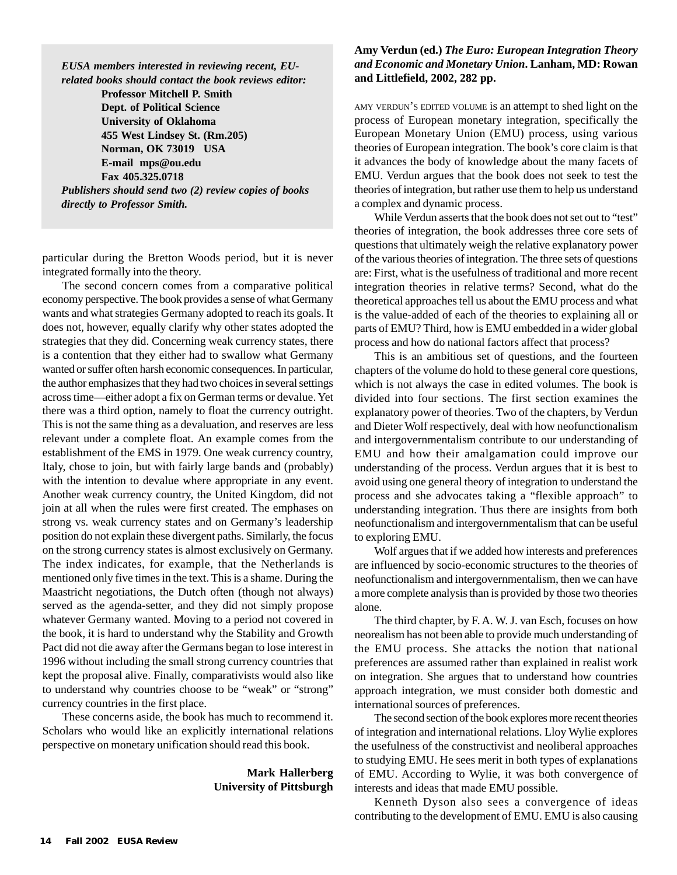*EUSA members interested in reviewing recent, EUrelated books should contact the book reviews editor:*

**Professor Mitchell P. Smith Dept. of Political Science University of Oklahoma 455 West Lindsey St. (Rm.205) Norman, OK 73019 USA E-mail mps@ou.edu Fax 405.325.0718** *Publishers should send two (2) review copies of books directly to Professor Smith.*

particular during the Bretton Woods period, but it is never integrated formally into the theory.

The second concern comes from a comparative political economy perspective. The book provides a sense of what Germany wants and what strategies Germany adopted to reach its goals. It does not, however, equally clarify why other states adopted the strategies that they did. Concerning weak currency states, there is a contention that they either had to swallow what Germany wanted or suffer often harsh economic consequences. In particular, the author emphasizes that they had two choices in several settings across time—either adopt a fix on German terms or devalue. Yet there was a third option, namely to float the currency outright. This is not the same thing as a devaluation, and reserves are less relevant under a complete float. An example comes from the establishment of the EMS in 1979. One weak currency country, Italy, chose to join, but with fairly large bands and (probably) with the intention to devalue where appropriate in any event. Another weak currency country, the United Kingdom, did not join at all when the rules were first created. The emphases on strong vs. weak currency states and on Germany's leadership position do not explain these divergent paths. Similarly, the focus on the strong currency states is almost exclusively on Germany. The index indicates, for example, that the Netherlands is mentioned only five times in the text. This is a shame. During the Maastricht negotiations, the Dutch often (though not always) served as the agenda-setter, and they did not simply propose whatever Germany wanted. Moving to a period not covered in the book, it is hard to understand why the Stability and Growth Pact did not die away after the Germans began to lose interest in 1996 without including the small strong currency countries that kept the proposal alive. Finally, comparativists would also like to understand why countries choose to be "weak" or "strong" currency countries in the first place.

These concerns aside, the book has much to recommend it. Scholars who would like an explicitly international relations perspective on monetary unification should read this book.

#### **Mark Hallerberg University of Pittsburgh**

#### **Amy Verdun (ed.)** *The Euro: European Integration Theory and Economic and Monetary Union***. Lanham, MD: Rowan and Littlefield, 2002, 282 pp.**

AMY VERDUN'S EDITED VOLUME is an attempt to shed light on the process of European monetary integration, specifically the European Monetary Union (EMU) process, using various theories of European integration. The book's core claim is that it advances the body of knowledge about the many facets of EMU. Verdun argues that the book does not seek to test the theories of integration, but rather use them to help us understand a complex and dynamic process.

While Verdun asserts that the book does not set out to "test" theories of integration, the book addresses three core sets of questions that ultimately weigh the relative explanatory power of the various theories of integration. The three sets of questions are: First, what is the usefulness of traditional and more recent integration theories in relative terms? Second, what do the theoretical approaches tell us about the EMU process and what is the value-added of each of the theories to explaining all or parts of EMU? Third, how is EMU embedded in a wider global process and how do national factors affect that process?

This is an ambitious set of questions, and the fourteen chapters of the volume do hold to these general core questions, which is not always the case in edited volumes. The book is divided into four sections. The first section examines the explanatory power of theories. Two of the chapters, by Verdun and Dieter Wolf respectively, deal with how neofunctionalism and intergovernmentalism contribute to our understanding of EMU and how their amalgamation could improve our understanding of the process. Verdun argues that it is best to avoid using one general theory of integration to understand the process and she advocates taking a "flexible approach" to understanding integration. Thus there are insights from both neofunctionalism and intergovernmentalism that can be useful to exploring EMU.

Wolf argues that if we added how interests and preferences are influenced by socio-economic structures to the theories of neofunctionalism and intergovernmentalism, then we can have a more complete analysis than is provided by those two theories alone.

The third chapter, by F. A. W. J. van Esch, focuses on how neorealism has not been able to provide much understanding of the EMU process. She attacks the notion that national preferences are assumed rather than explained in realist work on integration. She argues that to understand how countries approach integration, we must consider both domestic and international sources of preferences.

The second section of the book explores more recent theories of integration and international relations. Lloy Wylie explores the usefulness of the constructivist and neoliberal approaches to studying EMU. He sees merit in both types of explanations of EMU. According to Wylie, it was both convergence of interests and ideas that made EMU possible.

Kenneth Dyson also sees a convergence of ideas contributing to the development of EMU. EMU is also causing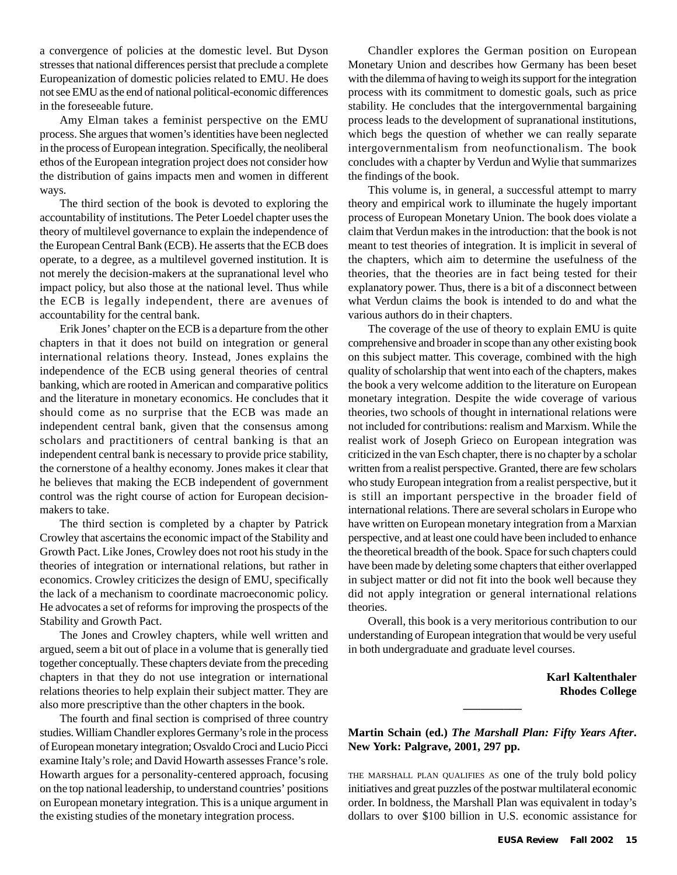a convergence of policies at the domestic level. But Dyson stresses that national differences persist that preclude a complete Europeanization of domestic policies related to EMU. He does not see EMU as the end of national political-economic differences in the foreseeable future.

Amy Elman takes a feminist perspective on the EMU process. She argues that women's identities have been neglected in the process of European integration. Specifically, the neoliberal ethos of the European integration project does not consider how the distribution of gains impacts men and women in different ways.

The third section of the book is devoted to exploring the accountability of institutions. The Peter Loedel chapter uses the theory of multilevel governance to explain the independence of the European Central Bank (ECB). He asserts that the ECB does operate, to a degree, as a multilevel governed institution. It is not merely the decision-makers at the supranational level who impact policy, but also those at the national level. Thus while the ECB is legally independent, there are avenues of accountability for the central bank.

Erik Jones' chapter on the ECB is a departure from the other chapters in that it does not build on integration or general international relations theory. Instead, Jones explains the independence of the ECB using general theories of central banking, which are rooted in American and comparative politics and the literature in monetary economics. He concludes that it should come as no surprise that the ECB was made an independent central bank, given that the consensus among scholars and practitioners of central banking is that an independent central bank is necessary to provide price stability, the cornerstone of a healthy economy. Jones makes it clear that he believes that making the ECB independent of government control was the right course of action for European decisionmakers to take.

The third section is completed by a chapter by Patrick Crowley that ascertains the economic impact of the Stability and Growth Pact. Like Jones, Crowley does not root his study in the theories of integration or international relations, but rather in economics. Crowley criticizes the design of EMU, specifically the lack of a mechanism to coordinate macroeconomic policy. He advocates a set of reforms for improving the prospects of the Stability and Growth Pact.

The Jones and Crowley chapters, while well written and argued, seem a bit out of place in a volume that is generally tied together conceptually. These chapters deviate from the preceding chapters in that they do not use integration or international relations theories to help explain their subject matter. They are also more prescriptive than the other chapters in the book.

The fourth and final section is comprised of three country studies. William Chandler explores Germany's role in the process of European monetary integration; Osvaldo Croci and Lucio Picci examine Italy's role; and David Howarth assesses France's role. Howarth argues for a personality-centered approach, focusing on the top national leadership, to understand countries' positions on European monetary integration. This is a unique argument in the existing studies of the monetary integration process.

Chandler explores the German position on European Monetary Union and describes how Germany has been beset with the dilemma of having to weigh its support for the integration process with its commitment to domestic goals, such as price stability. He concludes that the intergovernmental bargaining process leads to the development of supranational institutions, which begs the question of whether we can really separate intergovernmentalism from neofunctionalism. The book concludes with a chapter by Verdun and Wylie that summarizes the findings of the book.

This volume is, in general, a successful attempt to marry theory and empirical work to illuminate the hugely important process of European Monetary Union. The book does violate a claim that Verdun makes in the introduction: that the book is not meant to test theories of integration. It is implicit in several of the chapters, which aim to determine the usefulness of the theories, that the theories are in fact being tested for their explanatory power. Thus, there is a bit of a disconnect between what Verdun claims the book is intended to do and what the various authors do in their chapters.

The coverage of the use of theory to explain EMU is quite comprehensive and broader in scope than any other existing book on this subject matter. This coverage, combined with the high quality of scholarship that went into each of the chapters, makes the book a very welcome addition to the literature on European monetary integration. Despite the wide coverage of various theories, two schools of thought in international relations were not included for contributions: realism and Marxism. While the realist work of Joseph Grieco on European integration was criticized in the van Esch chapter, there is no chapter by a scholar written from a realist perspective. Granted, there are few scholars who study European integration from a realist perspective, but it is still an important perspective in the broader field of international relations. There are several scholars in Europe who have written on European monetary integration from a Marxian perspective, and at least one could have been included to enhance the theoretical breadth of the book. Space for such chapters could have been made by deleting some chapters that either overlapped in subject matter or did not fit into the book well because they did not apply integration or general international relations theories.

Overall, this book is a very meritorious contribution to our understanding of European integration that would be very useful in both undergraduate and graduate level courses.

> **Karl Kaltenthaler Rhodes College**

**Martin Schain (ed.)** *The Marshall Plan: Fifty Years After***. New York: Palgrave, 2001, 297 pp.**

**\_\_\_\_\_\_\_\_\_\_**

THE MARSHALL PLAN QUALIFIES AS one of the truly bold policy initiatives and great puzzles of the postwar multilateral economic order. In boldness, the Marshall Plan was equivalent in today's dollars to over \$100 billion in U.S. economic assistance for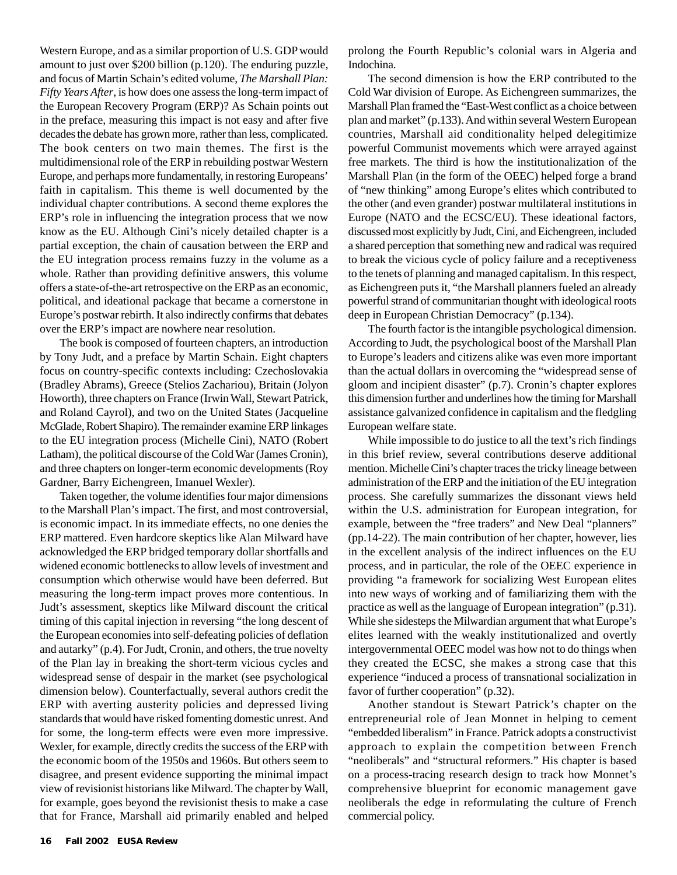Western Europe, and as a similar proportion of U.S. GDP would amount to just over \$200 billion (p.120). The enduring puzzle, and focus of Martin Schain's edited volume, *The Marshall Plan: Fifty Years After*, is how does one assess the long-term impact of the European Recovery Program (ERP)? As Schain points out in the preface, measuring this impact is not easy and after five decades the debate has grown more, rather than less, complicated. The book centers on two main themes. The first is the multidimensional role of the ERP in rebuilding postwar Western Europe, and perhaps more fundamentally, in restoring Europeans' faith in capitalism. This theme is well documented by the individual chapter contributions. A second theme explores the ERP's role in influencing the integration process that we now know as the EU. Although Cini's nicely detailed chapter is a partial exception, the chain of causation between the ERP and the EU integration process remains fuzzy in the volume as a whole. Rather than providing definitive answers, this volume offers a state-of-the-art retrospective on the ERP as an economic, political, and ideational package that became a cornerstone in Europe's postwar rebirth. It also indirectly confirms that debates over the ERP's impact are nowhere near resolution.

The book is composed of fourteen chapters, an introduction by Tony Judt, and a preface by Martin Schain. Eight chapters focus on country-specific contexts including: Czechoslovakia (Bradley Abrams), Greece (Stelios Zachariou), Britain (Jolyon Howorth), three chapters on France (Irwin Wall, Stewart Patrick, and Roland Cayrol), and two on the United States (Jacqueline McGlade, Robert Shapiro). The remainder examine ERP linkages to the EU integration process (Michelle Cini), NATO (Robert Latham), the political discourse of the Cold War (James Cronin), and three chapters on longer-term economic developments (Roy Gardner, Barry Eichengreen, Imanuel Wexler).

Taken together, the volume identifies four major dimensions to the Marshall Plan's impact. The first, and most controversial, is economic impact. In its immediate effects, no one denies the ERP mattered. Even hardcore skeptics like Alan Milward have acknowledged the ERP bridged temporary dollar shortfalls and widened economic bottlenecks to allow levels of investment and consumption which otherwise would have been deferred. But measuring the long-term impact proves more contentious. In Judt's assessment, skeptics like Milward discount the critical timing of this capital injection in reversing "the long descent of the European economies into self-defeating policies of deflation and autarky" (p.4). For Judt, Cronin, and others, the true novelty of the Plan lay in breaking the short-term vicious cycles and widespread sense of despair in the market (see psychological dimension below). Counterfactually, several authors credit the ERP with averting austerity policies and depressed living standards that would have risked fomenting domestic unrest. And for some, the long-term effects were even more impressive. Wexler, for example, directly credits the success of the ERP with the economic boom of the 1950s and 1960s. But others seem to disagree, and present evidence supporting the minimal impact view of revisionist historians like Milward. The chapter by Wall, for example, goes beyond the revisionist thesis to make a case that for France, Marshall aid primarily enabled and helped prolong the Fourth Republic's colonial wars in Algeria and Indochina.

The second dimension is how the ERP contributed to the Cold War division of Europe. As Eichengreen summarizes, the Marshall Plan framed the "East-West conflict as a choice between plan and market" (p.133). And within several Western European countries, Marshall aid conditionality helped delegitimize powerful Communist movements which were arrayed against free markets. The third is how the institutionalization of the Marshall Plan (in the form of the OEEC) helped forge a brand of "new thinking" among Europe's elites which contributed to the other (and even grander) postwar multilateral institutions in Europe (NATO and the ECSC/EU). These ideational factors, discussed most explicitly by Judt, Cini, and Eichengreen, included a shared perception that something new and radical was required to break the vicious cycle of policy failure and a receptiveness to the tenets of planning and managed capitalism. In this respect, as Eichengreen puts it, "the Marshall planners fueled an already powerful strand of communitarian thought with ideological roots deep in European Christian Democracy" (p.134).

The fourth factor is the intangible psychological dimension. According to Judt, the psychological boost of the Marshall Plan to Europe's leaders and citizens alike was even more important than the actual dollars in overcoming the "widespread sense of gloom and incipient disaster" (p.7). Cronin's chapter explores this dimension further and underlines how the timing for Marshall assistance galvanized confidence in capitalism and the fledgling European welfare state.

While impossible to do justice to all the text's rich findings in this brief review, several contributions deserve additional mention. Michelle Cini's chapter traces the tricky lineage between administration of the ERP and the initiation of the EU integration process. She carefully summarizes the dissonant views held within the U.S. administration for European integration, for example, between the "free traders" and New Deal "planners" (pp.14-22). The main contribution of her chapter, however, lies in the excellent analysis of the indirect influences on the EU process, and in particular, the role of the OEEC experience in providing "a framework for socializing West European elites into new ways of working and of familiarizing them with the practice as well as the language of European integration" (p.31). While she sidesteps the Milwardian argument that what Europe's elites learned with the weakly institutionalized and overtly intergovernmental OEEC model was how not to do things when they created the ECSC, she makes a strong case that this experience "induced a process of transnational socialization in favor of further cooperation" (p.32).

Another standout is Stewart Patrick's chapter on the entrepreneurial role of Jean Monnet in helping to cement "embedded liberalism" in France. Patrick adopts a constructivist approach to explain the competition between French "neoliberals" and "structural reformers." His chapter is based on a process-tracing research design to track how Monnet's comprehensive blueprint for economic management gave neoliberals the edge in reformulating the culture of French commercial policy.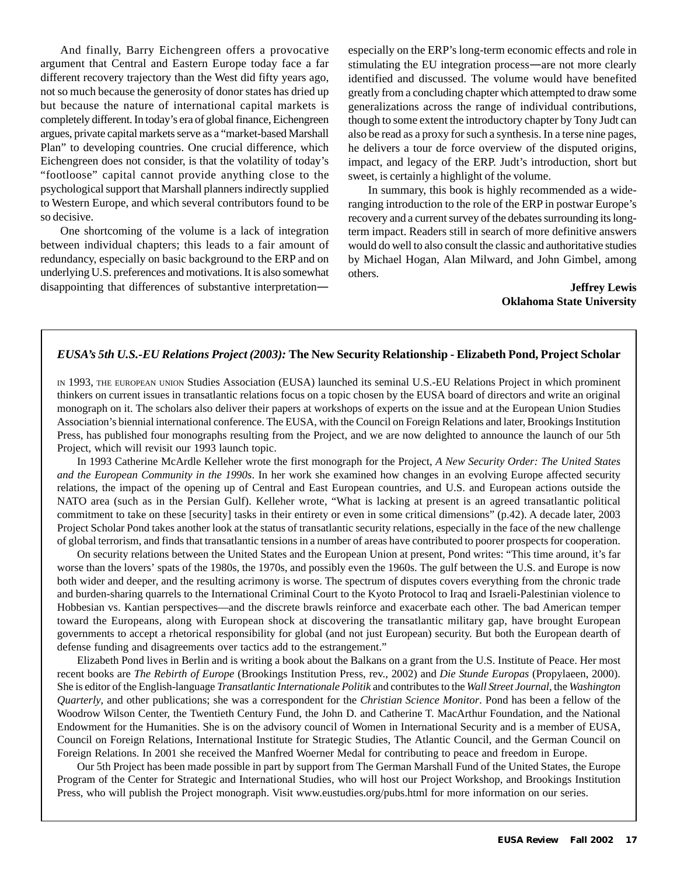And finally, Barry Eichengreen offers a provocative argument that Central and Eastern Europe today face a far different recovery trajectory than the West did fifty years ago, not so much because the generosity of donor states has dried up but because the nature of international capital markets is completely different. In today's era of global finance, Eichengreen argues, private capital markets serve as a "market-based Marshall Plan" to developing countries. One crucial difference, which Eichengreen does not consider, is that the volatility of today's "footloose" capital cannot provide anything close to the psychological support that Marshall planners indirectly supplied to Western Europe, and which several contributors found to be so decisive.

One shortcoming of the volume is a lack of integration between individual chapters; this leads to a fair amount of redundancy, especially on basic background to the ERP and on underlying U.S. preferences and motivations. It is also somewhat disappointing that differences of substantive interpretationespecially on the ERP's long-term economic effects and role in stimulating the EU integration process—are not more clearly identified and discussed. The volume would have benefited greatly from a concluding chapter which attempted to draw some generalizations across the range of individual contributions, though to some extent the introductory chapter by Tony Judt can also be read as a proxy for such a synthesis. In a terse nine pages, he delivers a tour de force overview of the disputed origins, impact, and legacy of the ERP. Judt's introduction, short but sweet, is certainly a highlight of the volume.

In summary, this book is highly recommended as a wideranging introduction to the role of the ERP in postwar Europe's recovery and a current survey of the debates surrounding its longterm impact. Readers still in search of more definitive answers would do well to also consult the classic and authoritative studies by Michael Hogan, Alan Milward, and John Gimbel, among others.

> **Jeffrey Lewis Oklahoma State University**

#### *EUSA's 5th U.S.-EU Relations Project (2003):* **The New Security Relationship - Elizabeth Pond, Project Scholar**

IN 1993, THE EUROPEAN UNION Studies Association (EUSA) launched its seminal U.S.-EU Relations Project in which prominent thinkers on current issues in transatlantic relations focus on a topic chosen by the EUSA board of directors and write an original monograph on it. The scholars also deliver their papers at workshops of experts on the issue and at the European Union Studies Association's biennial international conference. The EUSA, with the Council on Foreign Relations and later, Brookings Institution Press, has published four monographs resulting from the Project, and we are now delighted to announce the launch of our 5th Project, which will revisit our 1993 launch topic.

In 1993 Catherine McArdle Kelleher wrote the first monograph for the Project, *A New Security Order: The United States and the European Community in the 1990s*. In her work she examined how changes in an evolving Europe affected security relations, the impact of the opening up of Central and East European countries, and U.S. and European actions outside the NATO area (such as in the Persian Gulf). Kelleher wrote, "What is lacking at present is an agreed transatlantic political commitment to take on these [security] tasks in their entirety or even in some critical dimensions" (p.42). A decade later, 2003 Project Scholar Pond takes another look at the status of transatlantic security relations, especially in the face of the new challenge of global terrorism, and finds that transatlantic tensions in a number of areas have contributed to poorer prospects for cooperation.

On security relations between the United States and the European Union at present, Pond writes: "This time around, it's far worse than the lovers' spats of the 1980s, the 1970s, and possibly even the 1960s. The gulf between the U.S. and Europe is now both wider and deeper, and the resulting acrimony is worse. The spectrum of disputes covers everything from the chronic trade and burden-sharing quarrels to the International Criminal Court to the Kyoto Protocol to Iraq and Israeli-Palestinian violence to Hobbesian vs. Kantian perspectives—and the discrete brawls reinforce and exacerbate each other. The bad American temper toward the Europeans, along with European shock at discovering the transatlantic military gap, have brought European governments to accept a rhetorical responsibility for global (and not just European) security. But both the European dearth of defense funding and disagreements over tactics add to the estrangement."

Elizabeth Pond lives in Berlin and is writing a book about the Balkans on a grant from the U.S. Institute of Peace. Her most recent books are *The Rebirth of Europe* (Brookings Institution Press, rev., 2002) and *Die Stunde Europas* (Propylaeen, 2000). She is editor of the English-language *Transatlantic Internationale Politik* and contributes to the *Wall Street Journal*, the *Washington Quarterly*, and other publications; she was a correspondent for the *Christian Science Monitor*. Pond has been a fellow of the Woodrow Wilson Center, the Twentieth Century Fund, the John D. and Catherine T. MacArthur Foundation, and the National Endowment for the Humanities. She is on the advisory council of Women in International Security and is a member of EUSA, Council on Foreign Relations, International Institute for Strategic Studies, The Atlantic Council, and the German Council on Foreign Relations. In 2001 she received the Manfred Woerner Medal for contributing to peace and freedom in Europe.

Our 5th Project has been made possible in part by support from The German Marshall Fund of the United States, the Europe Program of the Center for Strategic and International Studies, who will host our Project Workshop, and Brookings Institution Press, who will publish the Project monograph. Visit www.eustudies.org/pubs.html for more information on our series.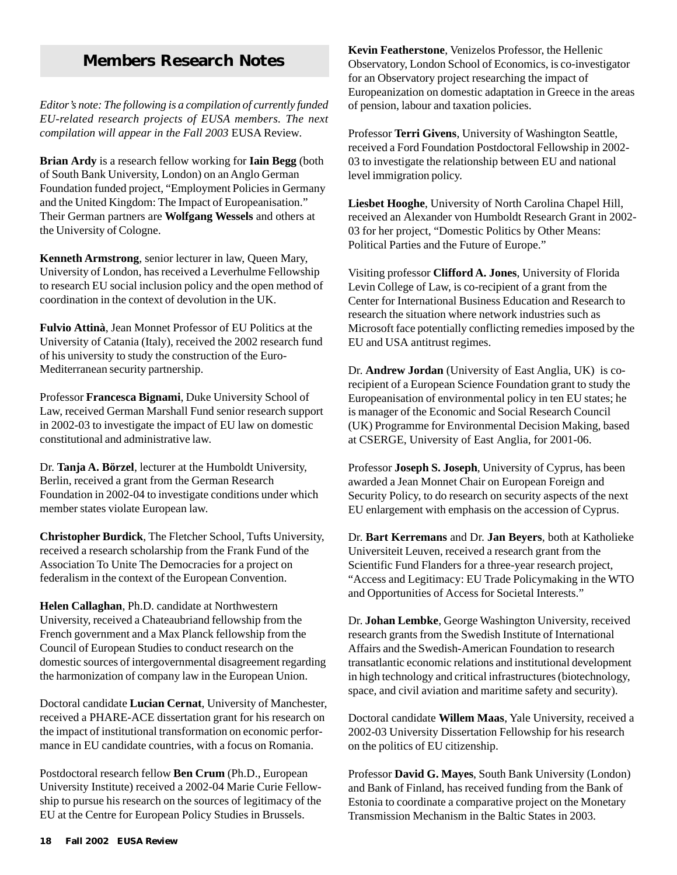## **Members Research Notes**

*Editor's note: The following is a compilation of currently funded EU-related research projects of EUSA members. The next compilation will appear in the Fall 2003* EUSA Review*.*

**Brian Ardy** is a research fellow working for **Iain Begg** (both of South Bank University, London) on an Anglo German Foundation funded project, "Employment Policies in Germany and the United Kingdom: The Impact of Europeanisation." Their German partners are **Wolfgang Wessels** and others at the University of Cologne.

**Kenneth Armstrong**, senior lecturer in law, Queen Mary, University of London, has received a Leverhulme Fellowship to research EU social inclusion policy and the open method of coordination in the context of devolution in the UK.

**Fulvio Attinà**, Jean Monnet Professor of EU Politics at the University of Catania (Italy), received the 2002 research fund of his university to study the construction of the Euro-Mediterranean security partnership.

Professor **Francesca Bignami**, Duke University School of Law, received German Marshall Fund senior research support in 2002-03 to investigate the impact of EU law on domestic constitutional and administrative law.

Dr. **Tanja A. Börzel**, lecturer at the Humboldt University, Berlin, received a grant from the German Research Foundation in 2002-04 to investigate conditions under which member states violate European law.

**Christopher Burdick**, The Fletcher School, Tufts University, received a research scholarship from the Frank Fund of the Association To Unite The Democracies for a project on federalism in the context of the European Convention.

**Helen Callaghan**, Ph.D. candidate at Northwestern University, received a Chateaubriand fellowship from the French government and a Max Planck fellowship from the Council of European Studies to conduct research on the domestic sources of intergovernmental disagreement regarding the harmonization of company law in the European Union.

Doctoral candidate **Lucian Cernat**, University of Manchester, received a PHARE-ACE dissertation grant for his research on the impact of institutional transformation on economic performance in EU candidate countries, with a focus on Romania.

Postdoctoral research fellow **Ben Crum** (Ph.D., European University Institute) received a 2002-04 Marie Curie Fellowship to pursue his research on the sources of legitimacy of the EU at the Centre for European Policy Studies in Brussels.

**Kevin Featherstone**, Venizelos Professor, the Hellenic Observatory, London School of Economics, is co-investigator for an Observatory project researching the impact of Europeanization on domestic adaptation in Greece in the areas of pension, labour and taxation policies.

Professor **Terri Givens**, University of Washington Seattle, received a Ford Foundation Postdoctoral Fellowship in 2002- 03 to investigate the relationship between EU and national level immigration policy.

**Liesbet Hooghe**, University of North Carolina Chapel Hill, received an Alexander von Humboldt Research Grant in 2002- 03 for her project, "Domestic Politics by Other Means: Political Parties and the Future of Europe."

Visiting professor **Clifford A. Jones**, University of Florida Levin College of Law, is co-recipient of a grant from the Center for International Business Education and Research to research the situation where network industries such as Microsoft face potentially conflicting remedies imposed by the EU and USA antitrust regimes.

Dr. **Andrew Jordan** (University of East Anglia, UK) is corecipient of a European Science Foundation grant to study the Europeanisation of environmental policy in ten EU states; he is manager of the Economic and Social Research Council (UK) Programme for Environmental Decision Making, based at CSERGE, University of East Anglia, for 2001-06.

Professor **Joseph S. Joseph**, University of Cyprus, has been awarded a Jean Monnet Chair on European Foreign and Security Policy, to do research on security aspects of the next EU enlargement with emphasis on the accession of Cyprus.

Dr. **Bart Kerremans** and Dr. **Jan Beyers**, both at Katholieke Universiteit Leuven, received a research grant from the Scientific Fund Flanders for a three-year research project, "Access and Legitimacy: EU Trade Policymaking in the WTO and Opportunities of Access for Societal Interests."

Dr. **Johan Lembke**, George Washington University, received research grants from the Swedish Institute of International Affairs and the Swedish-American Foundation to research transatlantic economic relations and institutional development in high technology and critical infrastructures (biotechnology, space, and civil aviation and maritime safety and security).

Doctoral candidate **Willem Maas**, Yale University, received a 2002-03 University Dissertation Fellowship for his research on the politics of EU citizenship.

Professor **David G. Mayes**, South Bank University (London) and Bank of Finland, has received funding from the Bank of Estonia to coordinate a comparative project on the Monetary Transmission Mechanism in the Baltic States in 2003.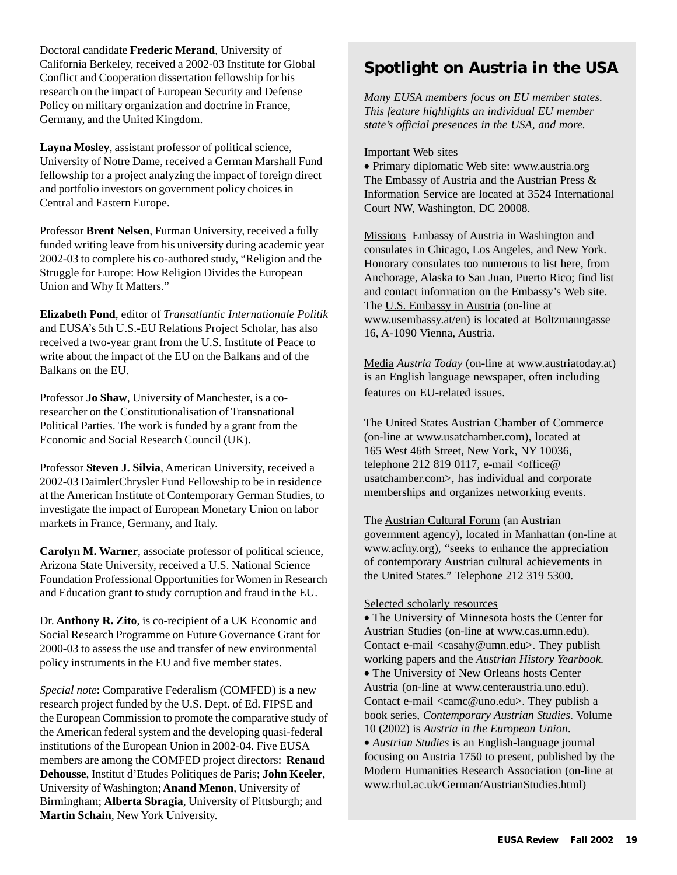Doctoral candidate **Frederic Merand**, University of California Berkeley, received a 2002-03 Institute for Global Conflict and Cooperation dissertation fellowship for his research on the impact of European Security and Defense Policy on military organization and doctrine in France, Germany, and the United Kingdom.

**Layna Mosley**, assistant professor of political science, University of Notre Dame, received a German Marshall Fund fellowship for a project analyzing the impact of foreign direct and portfolio investors on government policy choices in Central and Eastern Europe.

Professor **Brent Nelsen**, Furman University, received a fully funded writing leave from his university during academic year 2002-03 to complete his co-authored study, "Religion and the Struggle for Europe: How Religion Divides the European Union and Why It Matters."

**Elizabeth Pond**, editor of *Transatlantic Internationale Politik* and EUSA's 5th U.S.-EU Relations Project Scholar, has also received a two-year grant from the U.S. Institute of Peace to write about the impact of the EU on the Balkans and of the Balkans on the EU.

Professor **Jo Shaw**, University of Manchester, is a coresearcher on the Constitutionalisation of Transnational Political Parties. The work is funded by a grant from the Economic and Social Research Council (UK).

Professor **Steven J. Silvia**, American University, received a 2002-03 DaimlerChrysler Fund Fellowship to be in residence at the American Institute of Contemporary German Studies, to investigate the impact of European Monetary Union on labor markets in France, Germany, and Italy.

**Carolyn M. Warner**, associate professor of political science, Arizona State University, received a U.S. National Science Foundation Professional Opportunities for Women in Research and Education grant to study corruption and fraud in the EU.

Dr. **Anthony R. Zito**, is co-recipient of a UK Economic and Social Research Programme on Future Governance Grant for 2000-03 to assess the use and transfer of new environmental policy instruments in the EU and five member states.

*Special note*: Comparative Federalism (COMFED) is a new research project funded by the U.S. Dept. of Ed. FIPSE and the European Commission to promote the comparative study of the American federal system and the developing quasi-federal institutions of the European Union in 2002-04. Five EUSA members are among the COMFED project directors: **Renaud Dehousse**, Institut d'Etudes Politiques de Paris; **John Keeler**, University of Washington; **Anand Menon**, University of Birmingham; **Alberta Sbragia**, University of Pittsburgh; and **Martin Schain**, New York University.

## **Spotlight on Austria in the USA**

*Many EUSA members focus on EU member states. This feature highlights an individual EU member state's official presences in the USA, and more.*

#### Important Web sites

• Primary diplomatic Web site: www.austria.org The Embassy of Austria and the Austrian Press & Information Service are located at 3524 International Court NW, Washington, DC 20008.

Missions Embassy of Austria in Washington and consulates in Chicago, Los Angeles, and New York. Honorary consulates too numerous to list here, from Anchorage, Alaska to San Juan, Puerto Rico; find list and contact information on the Embassy's Web site. The U.S. Embassy in Austria (on-line at www.usembassy.at/en) is located at Boltzmanngasse 16, A-1090 Vienna, Austria.

Media *Austria Today* (on-line at www.austriatoday.at) is an English language newspaper, often including features on EU-related issues.

The United States Austrian Chamber of Commerce (on-line at www.usatchamber.com), located at 165 West 46th Street, New York, NY 10036, telephone 212 819 0117, e-mail  $\langle$ office@ usatchamber.com>, has individual and corporate memberships and organizes networking events.

The Austrian Cultural Forum (an Austrian government agency), located in Manhattan (on-line at www.acfny.org), "seeks to enhance the appreciation of contemporary Austrian cultural achievements in the United States." Telephone 212 319 5300.

#### Selected scholarly resources

• The University of Minnesota hosts the Center for Austrian Studies (on-line at www.cas.umn.edu). Contact e-mail <casahy@umn.edu>. They publish working papers and the *Austrian History Yearbook*. • The University of New Orleans hosts Center Austria (on-line at www.centeraustria.uno.edu).

Contact e-mail <camc@uno.edu>. They publish a book series, *Contemporary Austrian Studies*. Volume 10 (2002) is *Austria in the European Union*.

• *Austrian Studies* is an English-language journal focusing on Austria 1750 to present, published by the Modern Humanities Research Association (on-line at www.rhul.ac.uk/German/AustrianStudies.html)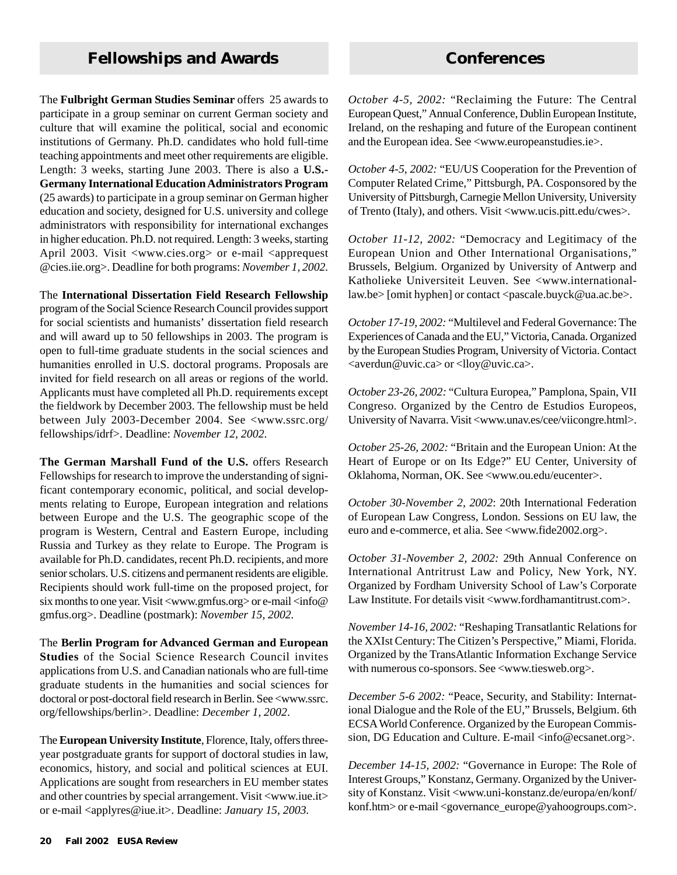## **Fellowships and Awards Conferences**

The **Fulbright German Studies Seminar** offers 25 awards to participate in a group seminar on current German society and culture that will examine the political, social and economic institutions of Germany. Ph.D. candidates who hold full-time teaching appointments and meet other requirements are eligible. Length: 3 weeks, starting June 2003. There is also a **U.S.- Germany International Education Administrators Program** (25 awards) to participate in a group seminar on German higher education and society, designed for U.S. university and college administrators with responsibility for international exchanges in higher education. Ph.D. not required. Length: 3 weeks, starting April 2003. Visit <www.cies.org> or e-mail <apprequest @cies.iie.org>. Deadline for both programs: *November 1, 2002.*

The **International Dissertation Field Research Fellowship** program of the Social Science Research Council provides support for social scientists and humanists' dissertation field research and will award up to 50 fellowships in 2003. The program is open to full-time graduate students in the social sciences and humanities enrolled in U.S. doctoral programs. Proposals are invited for field research on all areas or regions of the world. Applicants must have completed all Ph.D. requirements except the fieldwork by December 2003. The fellowship must be held between July 2003-December 2004. See <www.ssrc.org/ fellowships/idrf>. Deadline: *November 12, 2002*.

**The German Marshall Fund of the U.S.** offers Research Fellowships for research to improve the understanding of significant contemporary economic, political, and social developments relating to Europe, European integration and relations between Europe and the U.S. The geographic scope of the program is Western, Central and Eastern Europe, including Russia and Turkey as they relate to Europe. The Program is available for Ph.D. candidates, recent Ph.D. recipients, and more senior scholars. U.S. citizens and permanent residents are eligible. Recipients should work full-time on the proposed project, for six months to one year. Visit <www.gmfus.org> or e-mail <info@ gmfus.org>. Deadline (postmark): *November 15, 2002.*

The **Berlin Program for Advanced German and European Studies** of the Social Science Research Council invites applications from U.S. and Canadian nationals who are full-time graduate students in the humanities and social sciences for doctoral or post-doctoral field research in Berlin. See <www.ssrc. org/fellowships/berlin>. Deadline: *December 1, 2002*.

The **European University Institute**, Florence, Italy, offers threeyear postgraduate grants for support of doctoral studies in law, economics, history, and social and political sciences at EUI. Applications are sought from researchers in EU member states and other countries by special arrangement. Visit <www.iue.it> or e-mail <applyres@iue.it>. Deadline: *January 15, 2003.*

*October 4-5, 2002:* "Reclaiming the Future: The Central European Quest," Annual Conference, Dublin European Institute, Ireland, on the reshaping and future of the European continent and the European idea. See <www.europeanstudies.ie>.

*October 4-5, 2002:* "EU/US Cooperation for the Prevention of Computer Related Crime," Pittsburgh, PA. Cosponsored by the University of Pittsburgh, Carnegie Mellon University, University of Trento (Italy), and others. Visit <www.ucis.pitt.edu/cwes>.

*October 11-12, 2002:* "Democracy and Legitimacy of the European Union and Other International Organisations," Brussels, Belgium. Organized by University of Antwerp and Katholieke Universiteit Leuven. See <www.internationallaw.be> [omit hyphen] or contact <pascale.buyck@ua.ac.be>.

*October 17-19, 2002:* "Multilevel and Federal Governance: The Experiences of Canada and the EU," Victoria, Canada. Organized by the European Studies Program, University of Victoria. Contact <averdun@uvic.ca> or <lloy@uvic.ca>.

*October 23-26, 2002:* "Cultura Europea," Pamplona, Spain, VII Congreso. Organized by the Centro de Estudios Europeos, University of Navarra. Visit <www.unav.es/cee/viicongre.html>.

*October 25-26, 2002:* "Britain and the European Union: At the Heart of Europe or on Its Edge?" EU Center, University of Oklahoma, Norman, OK. See <www.ou.edu/eucenter>.

*October 30-November 2, 2002*: 20th International Federation of European Law Congress, London. Sessions on EU law, the euro and e-commerce, et alia. See <www.fide2002.org>.

*October 31-November 2, 2002:* 29th Annual Conference on International Antritrust Law and Policy, New York, NY. Organized by Fordham University School of Law's Corporate Law Institute. For details visit <www.fordhamantitrust.com>.

*November 14-16, 2002:* "Reshaping Transatlantic Relations for the XXIst Century: The Citizen's Perspective," Miami, Florida. Organized by the TransAtlantic Information Exchange Service with numerous co-sponsors. See <www.tiesweb.org>.

*December 5-6 2002:* "Peace, Security, and Stability: International Dialogue and the Role of the EU," Brussels, Belgium. 6th ECSA World Conference. Organized by the European Commission, DG Education and Culture. E-mail <info@ecsanet.org>.

*December 14-15, 2002:* "Governance in Europe: The Role of Interest Groups," Konstanz, Germany. Organized by the University of Konstanz. Visit <www.uni-konstanz.de/europa/en/konf/ konf.htm> or e-mail <governance\_europe@yahoogroups.com>.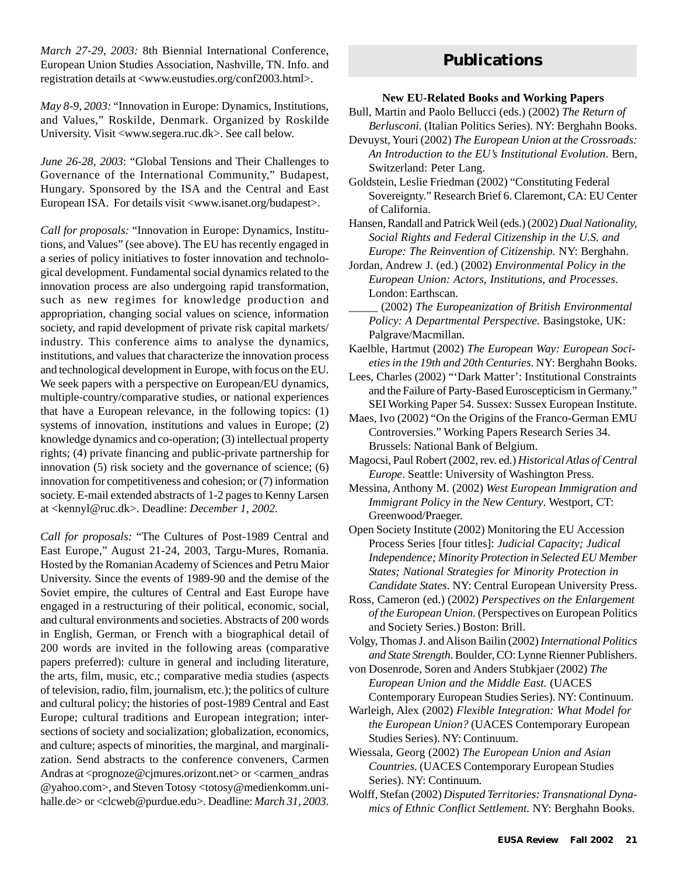*March 27-29, 2003:* 8th Biennial International Conference, European Union Studies Association, Nashville, TN. Info. and registration details at <www.eustudies.org/conf2003.html>.

and Values," Roskilde, Denmark. Organized by Roskilde *May 8-9, 2003:* "Innovation in Europe: Dynamics, Institutions, University. Visit <www.segera.ruc.dk>. See call below.

*June 26-28, 2003*: "Global Tensions and Their Challenges to Governance of the International Community," Budapest, Hungary. Sponsored by the ISA and the Central and East European ISA. For details visit <www.isanet.org/budapest>.

*Call for proposals:* "Innovation in Europe: Dynamics, Institutions, and Values" (see above). The EU has recently engaged in a series of policy initiatives to foster innovation and technological development. Fundamental social dynamics related to the innovation process are also undergoing rapid transformation, such as new regimes for knowledge production and appropriation, changing social values on science, information society, and rapid development of private risk capital markets/ industry. This conference aims to analyse the dynamics, institutions, and values that characterize the innovation process and technological development in Europe, with focus on the EU. We seek papers with a perspective on European/EU dynamics, multiple-country/comparative studies, or national experiences that have a European relevance, in the following topics: (1) systems of innovation, institutions and values in Europe; (2) knowledge dynamics and co-operation; (3) intellectual property rights; (4) private financing and public-private partnership for innovation (5) risk society and the governance of science; (6) innovation for competitiveness and cohesion; or (7) information society. E-mail extended abstracts of 1-2 pages to Kenny Larsen at <kennyl@ruc.dk>. Deadline: *December 1, 2002.*

*Call for proposals:* "The Cultures of Post-1989 Central and East Europe," August 21-24, 2003, Targu-Mures, Romania. Hosted by the Romanian Academy of Sciences and Petru Maior University. Since the events of 1989-90 and the demise of the Soviet empire, the cultures of Central and East Europe have engaged in a restructuring of their political, economic, social, and cultural environments and societies. Abstracts of 200 words in English, German, or French with a biographical detail of 200 words are invited in the following areas (comparative papers preferred): culture in general and including literature, the arts, film, music, etc.; comparative media studies (aspects of television, radio, film, journalism, etc.); the politics of culture and cultural policy; the histories of post-1989 Central and East Europe; cultural traditions and European integration; intersections of society and socialization; globalization, economics, and culture; aspects of minorities, the marginal, and marginalization. Send abstracts to the conference conveners, Carmen Andras at <prognoze@cjmures.orizont.net> or <carmen\_andras @yahoo.com>, and Steven Totosy <totosy@medienkomm.unihalle.de> or <clcweb@purdue.edu>. Deadline: *March 31, 2003*.

## **Publications**

#### **New EU-Related Books and Working Papers**

- Bull, Martin and Paolo Bellucci (eds.) (2002) *The Return of Berlusconi.* (Italian Politics Series). NY: Berghahn Books.
- Devuyst, Youri (2002) *The European Union at the Crossroads: An Introduction to the EU's Institutional Evolution*. Bern, Switzerland: Peter Lang.
- Goldstein, Leslie Friedman (2002) "Constituting Federal Sovereignty." Research Brief 6. Claremont, CA: EU Center of California.

Hansen, Randall and Patrick Weil (eds.) (2002) *Dual Nationality, Social Rights and Federal Citizenship in the U.S. and Europe: The Reinvention of Citizenship.* NY: Berghahn.

Jordan, Andrew J. (ed.) (2002) *Environmental Policy in the European Union: Actors, Institutions, and Processes*. London: Earthscan.

- \_\_\_\_\_ (2002) *The Europeanization of British Environmental Policy: A Departmental Perspective.* Basingstoke, UK: Palgrave/Macmillan.
- Kaelble, Hartmut (2002) *The European Way: European Societies in the 19th and 20th Centuries*. NY: Berghahn Books.
- Lees, Charles (2002) "'Dark Matter': Institutional Constraints and the Failure of Party-Based Euroscepticism in Germany." SEI Working Paper 54. Sussex: Sussex European Institute.
- Maes, Ivo (2002) "On the Origins of the Franco-German EMU Controversies." Working Papers Research Series 34. Brussels: National Bank of Belgium.
- Magocsi, Paul Robert (2002, rev. ed.) *Historical Atlas of Central Europe*. Seattle: University of Washington Press.
- Messina, Anthony M. (2002) *West European Immigration and Immigrant Policy in the New Century*. Westport, CT: Greenwood/Praeger.
- Open Society Institute (2002) Monitoring the EU Accession Process Series [four titles]: *Judicial Capacity; Judical Independence; Minority Protection in Selected EU Member States; National Strategies for Minority Protection in Candidate States*. NY: Central European University Press.
- Ross, Cameron (ed.) (2002) *Perspectives on the Enlargement of the European Union*. (Perspectives on European Politics and Society Series.) Boston: Brill.

Volgy, Thomas J. and Alison Bailin (2002) *International Politics and State Strength*. Boulder, CO: Lynne Rienner Publishers.

von Dosenrode, Soren and Anders Stubkjaer (2002) *The European Union and the Middle East.* (UACES Contemporary European Studies Series). NY: Continuum.

- Warleigh, Alex (2002) *Flexible Integration: What Model for the European Union?* (UACES Contemporary European Studies Series). NY: Continuum.
- Wiessala, Georg (2002) *The European Union and Asian Countries.* (UACES Contemporary European Studies Series). NY: Continuum.
- Wolff, Stefan (2002) *Disputed Territories: Transnational Dynamics of Ethnic Conflict Settlement.* NY: Berghahn Books.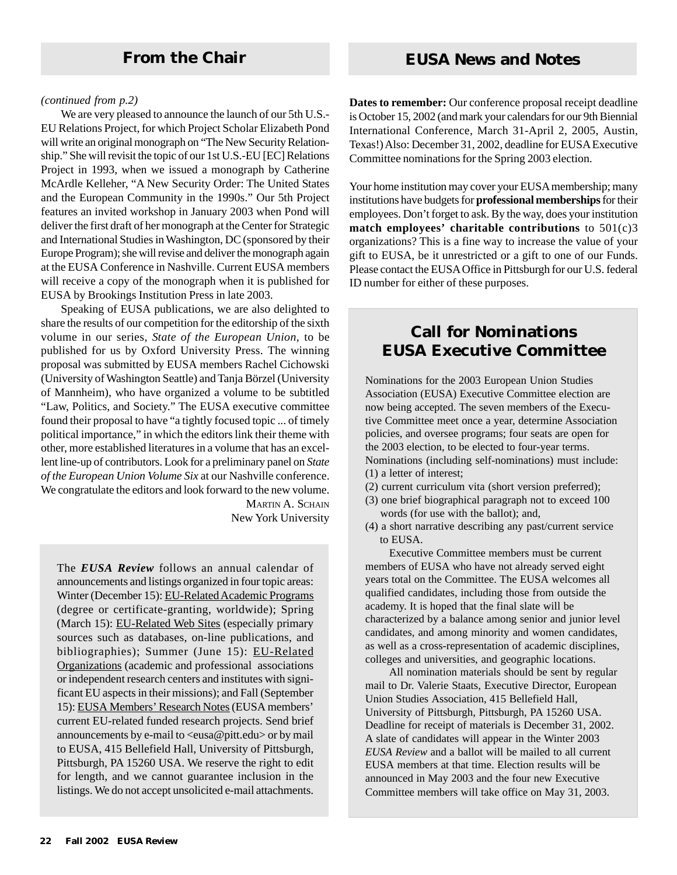#### *(continued from p.2)*

We are very pleased to announce the launch of our 5th U.S.- EU Relations Project, for which Project Scholar Elizabeth Pond will write an original monograph on "The New Security Relationship." She will revisit the topic of our 1st U.S.-EU [EC] Relations Project in 1993, when we issued a monograph by Catherine McArdle Kelleher, "A New Security Order: The United States and the European Community in the 1990s." Our 5th Project features an invited workshop in January 2003 when Pond will deliver the first draft of her monograph at the Center for Strategic and International Studies in Washington, DC (sponsored by their Europe Program); she will revise and deliver the monograph again at the EUSA Conference in Nashville. Current EUSA members will receive a copy of the monograph when it is published for EUSA by Brookings Institution Press in late 2003.

Speaking of EUSA publications, we are also delighted to share the results of our competition for the editorship of the sixth volume in our series, *State of the European Union*, to be published for us by Oxford University Press. The winning proposal was submitted by EUSA members Rachel Cichowski (University of Washington Seattle) and Tanja Börzel (University of Mannheim), who have organized a volume to be subtitled "Law, Politics, and Society." The EUSA executive committee found their proposal to have "a tightly focused topic ... of timely political importance," in which the editors link their theme with other, more established literatures in a volume that has an excellent line-up of contributors. Look for a preliminary panel on *State of the European Union Volume Six* at our Nashville conference. We congratulate the editors and look forward to the new volume.

**MARTIN A. SCHAIN** New York University

The *EUSA Review* follows an annual calendar of announcements and listings organized in four topic areas: Winter (December 15): EU-Related Academic Programs (degree or certificate-granting, worldwide); Spring (March 15): EU-Related Web Sites (especially primary sources such as databases, on-line publications, and bibliographies); Summer (June 15): EU-Related Organizations (academic and professional associations or independent research centers and institutes with significant EU aspects in their missions); and Fall (September 15): EUSA Members' Research Notes (EUSA members' current EU-related funded research projects. Send brief announcements by e-mail to <eusa@pitt.edu> or by mail to EUSA, 415 Bellefield Hall, University of Pittsburgh, Pittsburgh, PA 15260 USA. We reserve the right to edit for length, and we cannot guarantee inclusion in the listings. We do not accept unsolicited e-mail attachments. **Dates to remember:** Our conference proposal receipt deadline is October 15, 2002 (and mark your calendars for our 9th Biennial International Conference, March 31-April 2, 2005, Austin, Texas!) Also: December 31, 2002, deadline for EUSA Executive Committee nominations for the Spring 2003 election.

Your home institution may cover your EUSA membership; many institutions have budgets for **professional memberships** for their employees. Don't forget to ask. By the way, does your institution **match employees' charitable contributions** to 501(c)3 organizations? This is a fine way to increase the value of your gift to EUSA, be it unrestricted or a gift to one of our Funds. Please contact the EUSA Office in Pittsburgh for our U.S. federal ID number for either of these purposes.

## **Call for Nominations EUSA Executive Committee**

Nominations for the 2003 European Union Studies Association (EUSA) Executive Committee election are now being accepted. The seven members of the Executive Committee meet once a year, determine Association policies, and oversee programs; four seats are open for the 2003 election, to be elected to four-year terms. Nominations (including self-nominations) must include: (1) a letter of interest;

- (2) current curriculum vita (short version preferred);
- (3) one brief biographical paragraph not to exceed 100 words (for use with the ballot); and,
- (4) a short narrative describing any past/current service to EUSA.

Executive Committee members must be current members of EUSA who have not already served eight years total on the Committee. The EUSA welcomes all qualified candidates, including those from outside the academy. It is hoped that the final slate will be characterized by a balance among senior and junior level candidates, and among minority and women candidates, as well as a cross-representation of academic disciplines, colleges and universities, and geographic locations.

All nomination materials should be sent by regular mail to Dr. Valerie Staats, Executive Director, European Union Studies Association, 415 Bellefield Hall, University of Pittsburgh, Pittsburgh, PA 15260 USA. Deadline for receipt of materials is December 31, 2002. A slate of candidates will appear in the Winter 2003 *EUSA Review* and a ballot will be mailed to all current EUSA members at that time. Election results will be announced in May 2003 and the four new Executive Committee members will take office on May 31, 2003.